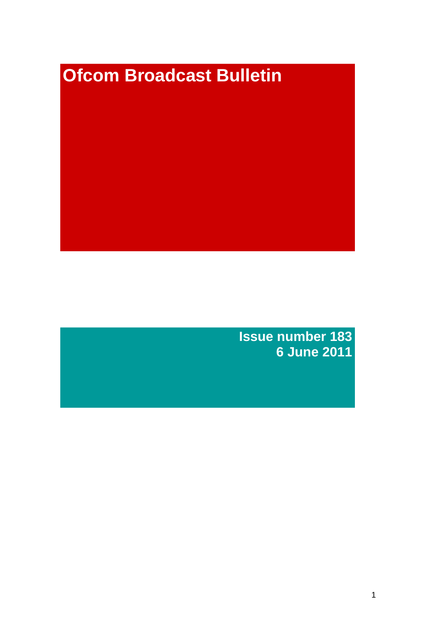# **Ofcom Broadcast Bulletin**

**Issue number 183 6 June 2011**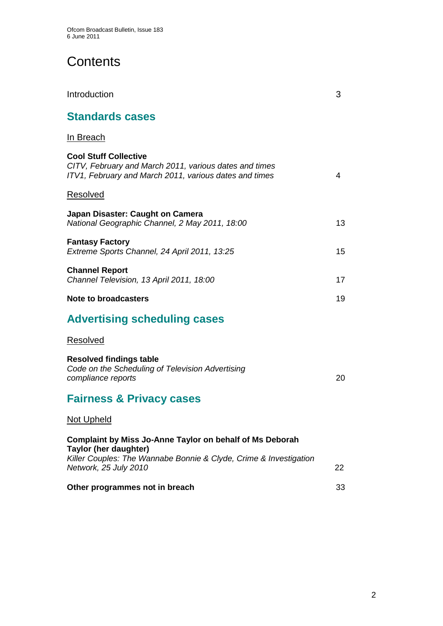# **Contents**

| Introduction                                                                                                                                     | 3  |
|--------------------------------------------------------------------------------------------------------------------------------------------------|----|
| <b>Standards cases</b>                                                                                                                           |    |
| <u>In Breach</u>                                                                                                                                 |    |
| <b>Cool Stuff Collective</b><br>CITV, February and March 2011, various dates and times<br>ITV1, February and March 2011, various dates and times | 4  |
| <b>Resolved</b>                                                                                                                                  |    |
| Japan Disaster: Caught on Camera<br>National Geographic Channel, 2 May 2011, 18:00                                                               | 13 |
| <b>Fantasy Factory</b><br>Extreme Sports Channel, 24 April 2011, 13:25                                                                           | 15 |
| <b>Channel Report</b><br>Channel Television, 13 April 2011, 18:00                                                                                | 17 |
| Note to broadcasters                                                                                                                             | 19 |
| <b>Advertising scheduling cases</b>                                                                                                              |    |
| Resolved                                                                                                                                         |    |
| <b>Resolved findings table</b><br>Code on the Scheduling of Television Advertising<br>compliance reports                                         | 20 |
| <b>Fairness &amp; Privacy cases</b>                                                                                                              |    |
| <b>Not Upheld</b>                                                                                                                                |    |
| <b>Complaint by Miss Jo-Anne Taylor on behalf of Ms Deborah</b><br><b>Taylor (her daughter)</b>                                                  |    |
| Killer Couples: The Wannabe Bonnie & Clyde, Crime & Investigation<br>Network, 25 July 2010                                                       | 22 |
| Other programmes not in breach                                                                                                                   | 33 |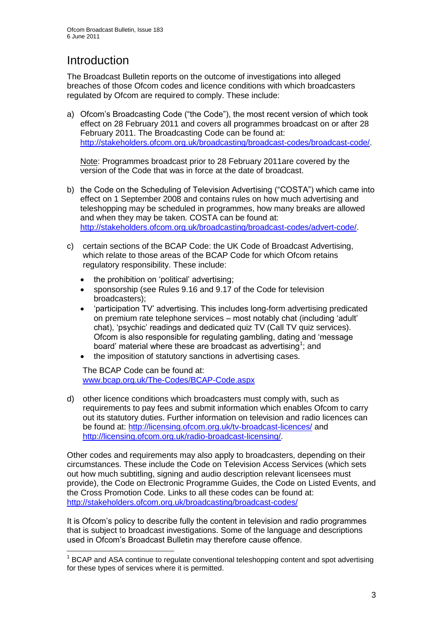# **Introduction**

1

The Broadcast Bulletin reports on the outcome of investigations into alleged breaches of those Ofcom codes and licence conditions with which broadcasters regulated by Ofcom are required to comply. These include:

a) Ofcom"s Broadcasting Code ("the Code"), the most recent version of which took effect on 28 February 2011 and covers all programmes broadcast on or after 28 February 2011. The Broadcasting Code can be found at: [http://stakeholders.ofcom.org.uk/broadcasting/broadcast-codes/broadcast-code/.](http://stakeholders.ofcom.org.uk/broadcasting/broadcast-codes/broadcast-code/)

Note: Programmes broadcast prior to 28 February 2011are covered by the version of the Code that was in force at the date of broadcast.

- b) the Code on the Scheduling of Television Advertising ("COSTA") which came into effect on 1 September 2008 and contains rules on how much advertising and teleshopping may be scheduled in programmes, how many breaks are allowed and when they may be taken. COSTA can be found at: [http://stakeholders.ofcom.org.uk/broadcasting/broadcast-codes/advert-code/.](http://stakeholders.ofcom.org.uk/broadcasting/broadcast-codes/advert-code/)
- c) certain sections of the BCAP Code: the UK Code of Broadcast Advertising, which relate to those areas of the BCAP Code for which Ofcom retains regulatory responsibility. These include:
	- the prohibition on "political" advertising;
	- sponsorship (see Rules 9.16 and 9.17 of the Code for television broadcasters);
	- "participation TV" advertising. This includes long-form advertising predicated on premium rate telephone services – most notably chat (including "adult" chat), "psychic" readings and dedicated quiz TV (Call TV quiz services). Ofcom is also responsible for regulating gambling, dating and "message board' material where these are broadcast as advertising<sup>1</sup>; and
	- the imposition of statutory sanctions in advertising cases.

The BCAP Code can be found at: [www.bcap.org.uk/The-Codes/BCAP-Code.aspx](http://www.bcap.org.uk/The-Codes/BCAP-Code.aspx)

d) other licence conditions which broadcasters must comply with, such as requirements to pay fees and submit information which enables Ofcom to carry out its statutory duties. Further information on television and radio licences can be found at:<http://licensing.ofcom.org.uk/tv-broadcast-licences/> and [http://licensing.ofcom.org.uk/radio-broadcast-licensing/.](http://licensing.ofcom.org.uk/radio-broadcast-licensing/)

Other codes and requirements may also apply to broadcasters, depending on their circumstances. These include the Code on Television Access Services (which sets out how much subtitling, signing and audio description relevant licensees must provide), the Code on Electronic Programme Guides, the Code on Listed Events, and the Cross Promotion Code. Links to all these codes can be found at: <http://stakeholders.ofcom.org.uk/broadcasting/broadcast-codes/>

It is Ofcom"s policy to describe fully the content in television and radio programmes that is subject to broadcast investigations. Some of the language and descriptions used in Ofcom"s Broadcast Bulletin may therefore cause offence.

<sup>&</sup>lt;sup>1</sup> BCAP and ASA continue to regulate conventional teleshopping content and spot advertising for these types of services where it is permitted.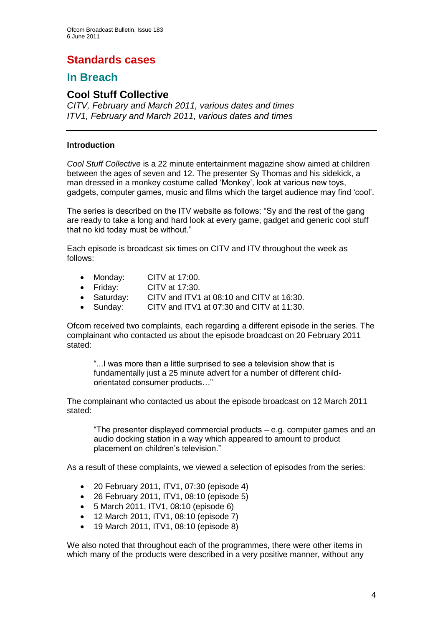# **Standards cases**

# **In Breach**

### **Cool Stuff Collective**

*CITV, February and March 2011, various dates and times ITV1, February and March 2011, various dates and times*

### **Introduction**

*Cool Stuff Collective* is a 22 minute entertainment magazine show aimed at children between the ages of seven and 12. The presenter Sy Thomas and his sidekick, a man dressed in a monkey costume called "Monkey", look at various new toys, gadgets, computer games, music and films which the target audience may find "cool".

The series is described on the ITV website as follows: "Sy and the rest of the gang are ready to take a long and hard look at every game, gadget and generic cool stuff that no kid today must be without."

Each episode is broadcast six times on CITV and ITV throughout the week as follows:

- Monday: CITV at 17:00.
- Friday: CITV at 17:30.
- Saturday: CITV and ITV1 at 08:10 and CITV at 16:30.
- Sunday: CITV and ITV1 at 07:30 and CITV at 11:30.

Ofcom received two complaints, each regarding a different episode in the series. The complainant who contacted us about the episode broadcast on 20 February 2011 stated:

"...I was more than a little surprised to see a television show that is fundamentally just a 25 minute advert for a number of different childorientated consumer products…"

The complainant who contacted us about the episode broadcast on 12 March 2011 stated:

"The presenter displayed commercial products – e.g. computer games and an audio docking station in a way which appeared to amount to product placement on children"s television."

As a result of these complaints, we viewed a selection of episodes from the series:

- 20 February 2011, ITV1, 07:30 (episode 4)
- 26 February 2011, ITV1, 08:10 (episode 5)
- 5 March 2011, ITV1, 08:10 (episode 6)
- 12 March 2011, ITV1, 08:10 (episode 7)
- 19 March 2011, ITV1, 08:10 (episode 8)

We also noted that throughout each of the programmes, there were other items in which many of the products were described in a very positive manner, without any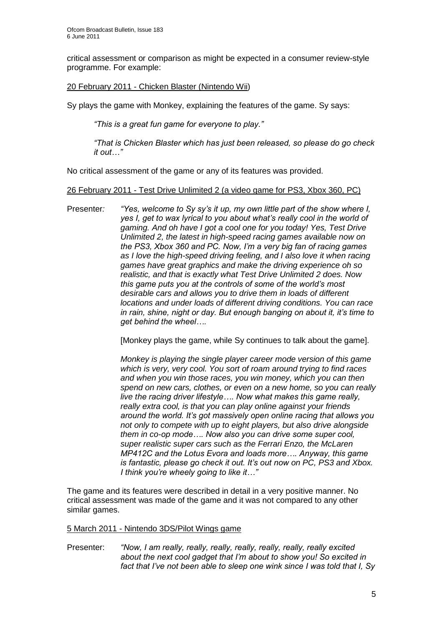critical assessment or comparison as might be expected in a consumer review-style programme. For example:

### 20 February 2011 - Chicken Blaster (Nintendo Wii)

Sy plays the game with Monkey, explaining the features of the game. Sy says:

*"This is a great fun game for everyone to play."*

*"That is Chicken Blaster which has just been released, so please do go check it out…"*

No critical assessment of the game or any of its features was provided.

### 26 February 2011 - Test Drive Unlimited 2 (a video game for PS3, Xbox 360, PC)

Presenter*: "Yes, welcome to Sy sy"s it up, my own little part of the show where I, yes I, get to wax lyrical to you about what"s really cool in the world of gaming. And oh have I got a cool one for you today! Yes, Test Drive Unlimited 2, the latest in high-speed racing games available now on the PS3, Xbox 360 and PC. Now, I"m a very big fan of racing games as I love the high-speed driving feeling, and I also love it when racing games have great graphics and make the driving experience oh so realistic, and that is exactly what Test Drive Unlimited 2 does. Now this game puts you at the controls of some of the world"s most desirable cars and allows you to drive them in loads of different locations and under loads of different driving conditions. You can race in rain, shine, night or day. But enough banging on about it, it"s time to get behind the wheel….* 

[Monkey plays the game, while Sy continues to talk about the game].

*Monkey is playing the single player career mode version of this game which is very, very cool. You sort of roam around trying to find races and when you win those races, you win money, which you can then spend on new cars, clothes, or even on a new home, so you can really live the racing driver lifestyle…. Now what makes this game really, really extra cool, is that you can play online against your friends around the world. It"s got massively open online racing that allows you not only to compete with up to eight players, but also drive alongside them in co-op mode…. Now also you can drive some super cool, super realistic super cars such as the Ferrari Enzo, the McLaren MP412C and the Lotus Evora and loads more…. Anyway, this game is fantastic, please go check it out. It"s out now on PC, PS3 and Xbox. I think you"re wheely going to like it…"*

The game and its features were described in detail in a very positive manner. No critical assessment was made of the game and it was not compared to any other similar games.

### 5 March 2011 - Nintendo 3DS/Pilot Wings game

Presenter: *"Now, I am really, really, really, really, really, really, really excited about the next cool gadget that I"m about to show you! So excited in fact that I"ve not been able to sleep one wink since I was told that I, Sy*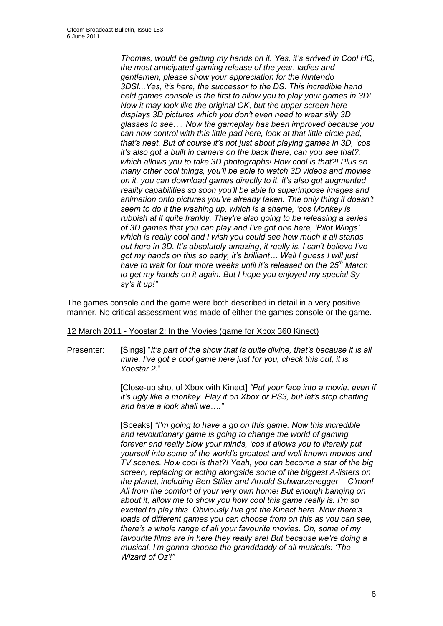*Thomas, would be getting my hands on it. Yes, it"s arrived in Cool HQ, the most anticipated gaming release of the year, ladies and gentlemen, please show your appreciation for the Nintendo 3DS!...Yes, it"s here, the successor to the DS. This incredible hand held games console is the first to allow you to play your games in 3D! Now it may look like the original OK, but the upper screen here displays 3D pictures which you don"t even need to wear silly 3D glasses to see…. Now the gameplay has been improved because you can now control with this little pad here, look at that little circle pad, that"s neat. But of course it"s not just about playing games in 3D, "cos it"s also got a built in camera on the back there, can you see that?, which allows you to take 3D photographs! How cool is that?! Plus so many other cool things, you"ll be able to watch 3D videos and movies on it, you can download games directly to it, it"s also got augmented reality capabilities so soon you"ll be able to superimpose images and animation onto pictures you"ve already taken. The only thing it doesn"t seem to do it the washing up, which is a shame, "cos Monkey is rubbish at it quite frankly. They"re also going to be releasing a series of 3D games that you can play and I"ve got one here, "Pilot Wings" which is really cool and I wish you could see how much it all stands out here in 3D. It"s absolutely amazing, it really is, I can"t believe I"ve got my hands on this so early, it"s brilliant… Well I guess I will just have to wait for four more weeks until it"s released on the 25th March to get my hands on it again. But I hope you enjoyed my special Sy sy"s it up!"*

The games console and the game were both described in detail in a very positive manner. No critical assessment was made of either the games console or the game.

### 12 March 2011 - Yoostar 2: In the Movies (game for Xbox 360 Kinect)

Presenter: [Sings] "*It"s part of the show that is quite divine, that"s because it is all mine. I"ve got a cool game here just for you, check this out, it is Yoostar 2.*"

> [Close-up shot of Xbox with Kinect] *"Put your face into a movie, even if it"s ugly like a monkey. Play it on Xbox or PS3, but let"s stop chatting and have a look shall we…."*

[Speaks] *"I"m going to have a go on this game. Now this incredible and revolutionary game is going to change the world of gaming forever and really blow your minds, "cos it allows you to literally put yourself into some of the world"s greatest and well known movies and TV scenes. How cool is that?! Yeah, you can become a star of the big screen, replacing or acting alongside some of the biggest A-listers on the planet, including Ben Stiller and Arnold Schwarzenegger – C"mon! All from the comfort of your very own home! But enough banging on about it, allow me to show you how cool this game really is. I"m so excited to play this. Obviously I"ve got the Kinect here. Now there"s loads of different games you can choose from on this as you can see, there"s a whole range of all your favourite movies. Oh, some of my favourite films are in here they really are! But because we"re doing a musical, I"m gonna choose the granddaddy of all musicals: "The Wizard of Oz"!"*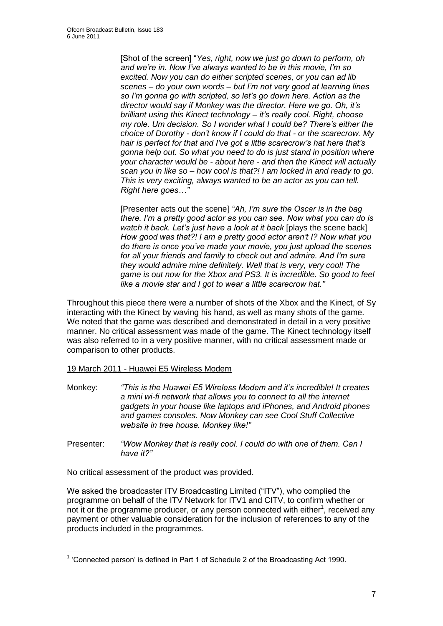[Shot of the screen] "*Yes, right, now we just go down to perform, oh and we"re in. Now I"ve always wanted to be in this movie, I"m so excited. Now you can do either scripted scenes, or you can ad lib scenes – do your own words – but I"m not very good at learning lines so I"m gonna go with scripted, so let"s go down here. Action as the director would say if Monkey was the director. Here we go. Oh, it"s brilliant using this Kinect technology – it"s really cool. Right, choose my role. Um decision. So I wonder what I could be? There"s either the choice of Dorothy - don"t know if I could do that - or the scarecrow. My hair is perfect for that and I"ve got a little scarecrow"s hat here that"s gonna help out. So what you need to do is just stand in position where your character would be - about here - and then the Kinect will actually scan you in like so – how cool is that?! I am locked in and ready to go. This is very exciting, always wanted to be an actor as you can tell. Right here goes…"*

[Presenter acts out the scene] *"Ah, I"m sure the Oscar is in the bag there. I"m a pretty good actor as you can see. Now what you can do is*  watch it back. Let's just have a look at it back **[plays the scene back]** *How good was that?! I am a pretty good actor aren"t I? Now what you do there is once you"ve made your movie, you just upload the scenes for all your friends and family to check out and admire. And I"m sure they would admire mine definitely. Well that is very, very cool! The game is out now for the Xbox and PS3. It is incredible. So good to feel like a movie star and I got to wear a little scarecrow hat."*

Throughout this piece there were a number of shots of the Xbox and the Kinect, of Sy interacting with the Kinect by waving his hand, as well as many shots of the game. We noted that the game was described and demonstrated in detail in a very positive manner. No critical assessment was made of the game. The Kinect technology itself was also referred to in a very positive manner, with no critical assessment made or comparison to other products.

19 March 2011 - Huawei E5 Wireless Modem

- Monkey: *"This is the Huawei E5 Wireless Modem and it"s incredible! It creates a mini wi-fi network that allows you to connect to all the internet gadgets in your house like laptops and iPhones, and Android phones and games consoles. Now Monkey can see Cool Stuff Collective website in tree house. Monkey like!"*
- Presenter: *"Wow Monkey that is really cool. I could do with one of them. Can I have it?"*

No critical assessment of the product was provided.

1

We asked the broadcaster ITV Broadcasting Limited ("ITV"), who complied the programme on behalf of the ITV Network for ITV1 and CITV, to confirm whether or not it or the programme producer, or any person connected with either<sup>1</sup>, received any payment or other valuable consideration for the inclusion of references to any of the products included in the programmes.

<sup>&</sup>lt;sup>1</sup> 'Connected person' is defined in Part 1 of Schedule 2 of the Broadcasting Act 1990.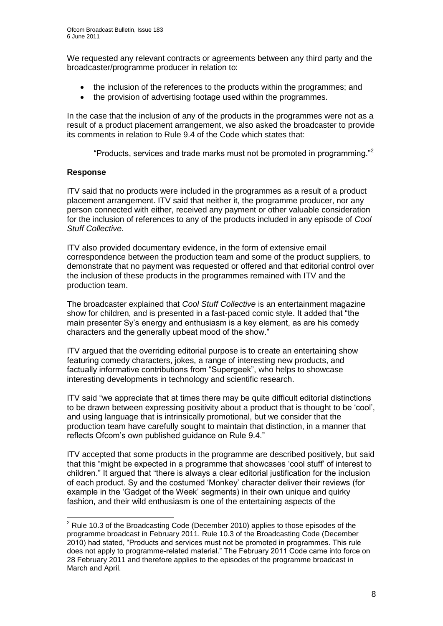We requested any relevant contracts or agreements between any third party and the broadcaster/programme producer in relation to:

- the inclusion of the references to the products within the programmes; and
- the provision of advertising footage used within the programmes.

In the case that the inclusion of any of the products in the programmes were not as a result of a product placement arrangement, we also asked the broadcaster to provide its comments in relation to Rule 9.4 of the Code which states that:

"Products, services and trade marks must not be promoted in programming."<sup>2</sup>

### **Response**

1

ITV said that no products were included in the programmes as a result of a product placement arrangement. ITV said that neither it, the programme producer, nor any person connected with either, received any payment or other valuable consideration for the inclusion of references to any of the products included in any episode of *Cool Stuff Collective.*

ITV also provided documentary evidence, in the form of extensive email correspondence between the production team and some of the product suppliers, to demonstrate that no payment was requested or offered and that editorial control over the inclusion of these products in the programmes remained with ITV and the production team.

The broadcaster explained that *Cool Stuff Collective* is an entertainment magazine show for children, and is presented in a fast-paced comic style. It added that "the main presenter Sy"s energy and enthusiasm is a key element, as are his comedy characters and the generally upbeat mood of the show."

ITV argued that the overriding editorial purpose is to create an entertaining show featuring comedy characters, jokes, a range of interesting new products, and factually informative contributions from "Supergeek", who helps to showcase interesting developments in technology and scientific research.

ITV said "we appreciate that at times there may be quite difficult editorial distinctions to be drawn between expressing positivity about a product that is thought to be "cool", and using language that is intrinsically promotional, but we consider that the production team have carefully sought to maintain that distinction, in a manner that reflects Ofcom"s own published guidance on Rule 9.4."

ITV accepted that some products in the programme are described positively, but said that this "might be expected in a programme that showcases "cool stuff" of interest to children." It argued that "there is always a clear editorial justification for the inclusion of each product. Sy and the costumed "Monkey" character deliver their reviews (for example in the "Gadget of the Week" segments) in their own unique and quirky fashion, and their wild enthusiasm is one of the entertaining aspects of the

 $2^2$  Rule 10.3 of the Broadcasting Code (December 2010) applies to those episodes of the programme broadcast in February 2011. Rule 10.3 of the Broadcasting Code (December 2010) had stated, "Products and services must not be promoted in programmes. This rule does not apply to programme-related material." The February 2011 Code came into force on 28 February 2011 and therefore applies to the episodes of the programme broadcast in March and April.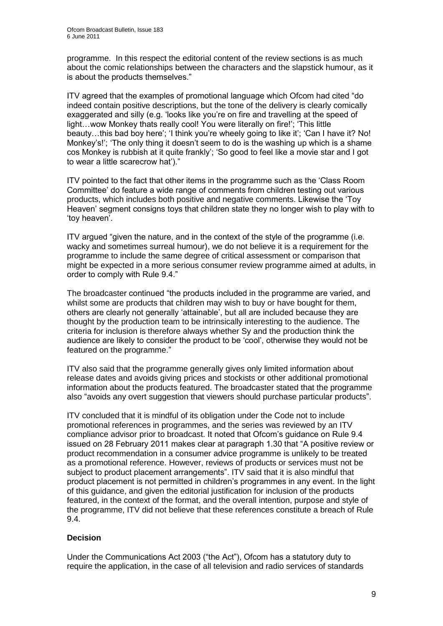programme. In this respect the editorial content of the review sections is as much about the comic relationships between the characters and the slapstick humour, as it is about the products themselves."

ITV agreed that the examples of promotional language which Ofcom had cited "do indeed contain positive descriptions, but the tone of the delivery is clearly comically exaggerated and silly (e.g. "looks like you"re on fire and travelling at the speed of light…wow Monkey thats really cool! You were literally on fire!"; "This little beauty...this bad boy here'; 'I think you're wheely going to like it'; 'Can I have it? No! Monkey's!'; 'The only thing it doesn't seem to do is the washing up which is a shame cos Monkey is rubbish at it quite frankly"; "So good to feel like a movie star and I got to wear a little scarecrow hat')."

ITV pointed to the fact that other items in the programme such as the "Class Room Committee" do feature a wide range of comments from children testing out various products, which includes both positive and negative comments. Likewise the "Toy Heaven" segment consigns toys that children state they no longer wish to play with to 'toy heaven'.

ITV argued "given the nature, and in the context of the style of the programme (i.e. wacky and sometimes surreal humour), we do not believe it is a requirement for the programme to include the same degree of critical assessment or comparison that might be expected in a more serious consumer review programme aimed at adults, in order to comply with Rule 9.4."

The broadcaster continued "the products included in the programme are varied, and whilst some are products that children may wish to buy or have bought for them, others are clearly not generally "attainable", but all are included because they are thought by the production team to be intrinsically interesting to the audience. The criteria for inclusion is therefore always whether Sy and the production think the audience are likely to consider the product to be "cool", otherwise they would not be featured on the programme."

ITV also said that the programme generally gives only limited information about release dates and avoids giving prices and stockists or other additional promotional information about the products featured. The broadcaster stated that the programme also "avoids any overt suggestion that viewers should purchase particular products".

ITV concluded that it is mindful of its obligation under the Code not to include promotional references in programmes, and the series was reviewed by an ITV compliance advisor prior to broadcast. It noted that Ofcom"s guidance on Rule 9.4 issued on 28 February 2011 makes clear at paragraph 1.30 that "A positive review or product recommendation in a consumer advice programme is unlikely to be treated as a promotional reference. However, reviews of products or services must not be subject to product placement arrangements". ITV said that it is also mindful that product placement is not permitted in children"s programmes in any event. In the light of this guidance, and given the editorial justification for inclusion of the products featured, in the context of the format, and the overall intention, purpose and style of the programme, ITV did not believe that these references constitute a breach of Rule 9.4.

### **Decision**

Under the Communications Act 2003 ("the Act"), Ofcom has a statutory duty to require the application, in the case of all television and radio services of standards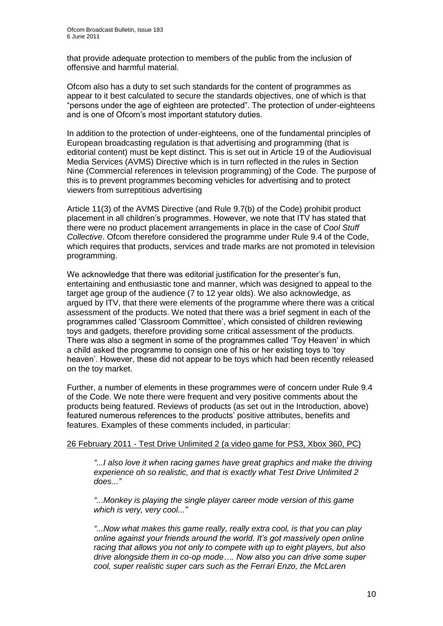that provide adequate protection to members of the public from the inclusion of offensive and harmful material.

Ofcom also has a duty to set such standards for the content of programmes as appear to it best calculated to secure the standards objectives, one of which is that "persons under the age of eighteen are protected". The protection of under-eighteens and is one of Ofcom"s most important statutory duties.

In addition to the protection of under-eighteens, one of the fundamental principles of European broadcasting regulation is that advertising and programming (that is editorial content) must be kept distinct. This is set out in Article 19 of the Audiovisual Media Services (AVMS) Directive which is in turn reflected in the rules in Section Nine (Commercial references in television programming) of the Code. The purpose of this is to prevent programmes becoming vehicles for advertising and to protect viewers from surreptitious advertising

Article 11(3) of the AVMS Directive (and Rule 9.7(b) of the Code) prohibit product placement in all children"s programmes. However, we note that ITV has stated that there were no product placement arrangements in place in the case of *Cool Stuff Collective*. Ofcom therefore considered the programme under Rule 9.4 of the Code, which requires that products, services and trade marks are not promoted in television programming.

We acknowledge that there was editorial justification for the presenter's fun, entertaining and enthusiastic tone and manner, which was designed to appeal to the target age group of the audience (7 to 12 year olds). We also acknowledge, as argued by ITV, that there were elements of the programme where there was a critical assessment of the products. We noted that there was a brief segment in each of the programmes called "Classroom Committee", which consisted of children reviewing toys and gadgets, therefore providing some critical assessment of the products. There was also a segment in some of the programmes called "Toy Heaven" in which a child asked the programme to consign one of his or her existing toys to "toy heaven". However, these did not appear to be toys which had been recently released on the toy market.

Further, a number of elements in these programmes were of concern under Rule 9.4 of the Code. We note there were frequent and very positive comments about the products being featured. Reviews of products (as set out in the Introduction, above) featured numerous references to the products" positive attributes, benefits and features. Examples of these comments included, in particular:

### 26 February 2011 - Test Drive Unlimited 2 (a video game for PS3, Xbox 360, PC)

*"...I also love it when racing games have great graphics and make the driving experience oh so realistic, and that is exactly what Test Drive Unlimited 2 does..."*

*"...Monkey is playing the single player career mode version of this game which is very, very cool..."*

*"...Now what makes this game really, really extra cool, is that you can play online against your friends around the world. It"s got massively open online racing that allows you not only to compete with up to eight players, but also drive alongside them in co-op mode…. Now also you can drive some super cool, super realistic super cars such as the Ferrari Enzo, the McLaren*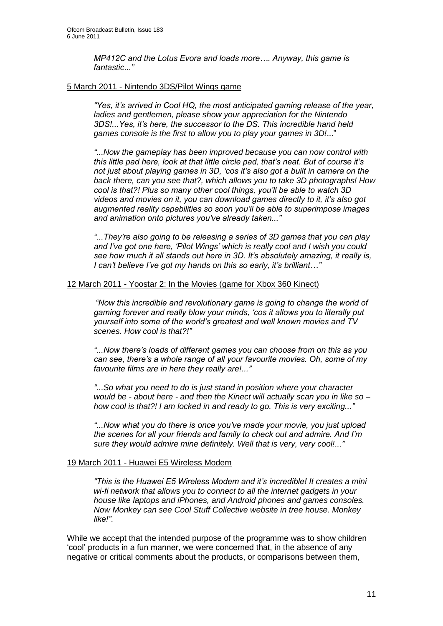*MP412C and the Lotus Evora and loads more…. Anyway, this game is fantastic..."*

### 5 March 2011 - Nintendo 3DS/Pilot Wings game

"Yes, it's arrived in Cool HQ, the most anticipated gaming release of the year, *ladies and gentlemen, please show your appreciation for the Nintendo 3DS!...Yes, it"s here, the successor to the DS. This incredible hand held games console is the first to allow you to play your games in 3D!*..."

*"...Now the gameplay has been improved because you can now control with this little pad here, look at that little circle pad, that"s neat. But of course it"s not just about playing games in 3D, "cos it"s also got a built in camera on the back there, can you see that?, which allows you to take 3D photographs! How cool is that?! Plus so many other cool things, you"ll be able to watch 3D videos and movies on it, you can download games directly to it, it"s also got augmented reality capabilities so soon you"ll be able to superimpose images and animation onto pictures you"ve already taken..."*

*"...They"re also going to be releasing a series of 3D games that you can play and I"ve got one here, "Pilot Wings" which is really cool and I wish you could see how much it all stands out here in 3D. It"s absolutely amazing, it really is, I can"t believe I"ve got my hands on this so early, it"s brilliant…"*

### 12 March 2011 - Yoostar 2: In the Movies (game for Xbox 360 Kinect)

*"Now this incredible and revolutionary game is going to change the world of gaming forever and really blow your minds, "cos it allows you to literally put yourself into some of the world"s greatest and well known movies and TV scenes. How cool is that?!"* 

*"...Now there"s loads of different games you can choose from on this as you can see, there"s a whole range of all your favourite movies. Oh, some of my favourite films are in here they really are!..."*

*"...So what you need to do is just stand in position where your character would be - about here - and then the Kinect will actually scan you in like so – how cool is that?! I am locked in and ready to go. This is very exciting..."*

*"...Now what you do there is once you"ve made your movie, you just upload the scenes for all your friends and family to check out and admire. And I"m sure they would admire mine definitely. Well that is very, very cool!..."*

### 19 March 2011 - Huawei E5 Wireless Modem

*"This is the Huawei E5 Wireless Modem and it"s incredible! It creates a mini wi-fi network that allows you to connect to all the internet gadgets in your house like laptops and iPhones, and Android phones and games consoles. Now Monkey can see Cool Stuff Collective website in tree house. Monkey like!"*.

While we accept that the intended purpose of the programme was to show children "cool" products in a fun manner, we were concerned that, in the absence of any negative or critical comments about the products, or comparisons between them,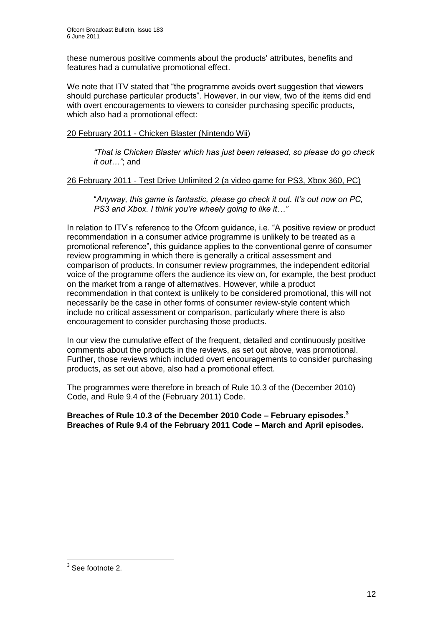these numerous positive comments about the products" attributes, benefits and features had a cumulative promotional effect.

We note that ITV stated that "the programme avoids overt suggestion that viewers should purchase particular products". However, in our view, two of the items did end with overt encouragements to viewers to consider purchasing specific products, which also had a promotional effect:

### 20 February 2011 - Chicken Blaster (Nintendo Wii)

*"That is Chicken Blaster which has just been released, so please do go check it out…"*; and

### 26 February 2011 - Test Drive Unlimited 2 (a video game for PS3, Xbox 360, PC)

"*Anyway, this game is fantastic, please go check it out. It"s out now on PC, PS3 and Xbox. I think you"re wheely going to like it…"* 

In relation to ITV"s reference to the Ofcom guidance, i.e. "A positive review or product recommendation in a consumer advice programme is unlikely to be treated as a promotional reference", this guidance applies to the conventional genre of consumer review programming in which there is generally a critical assessment and comparison of products. In consumer review programmes, the independent editorial voice of the programme offers the audience its view on, for example, the best product on the market from a range of alternatives. However, while a product recommendation in that context is unlikely to be considered promotional, this will not necessarily be the case in other forms of consumer review-style content which include no critical assessment or comparison, particularly where there is also encouragement to consider purchasing those products.

In our view the cumulative effect of the frequent, detailed and continuously positive comments about the products in the reviews, as set out above, was promotional. Further, those reviews which included overt encouragements to consider purchasing products, as set out above, also had a promotional effect.

The programmes were therefore in breach of Rule 10.3 of the (December 2010) Code, and Rule 9.4 of the (February 2011) Code.

**Breaches of Rule 10.3 of the December 2010 Code – February episodes.<sup>3</sup> Breaches of Rule 9.4 of the February 2011 Code – March and April episodes.**

 3 See footnote 2.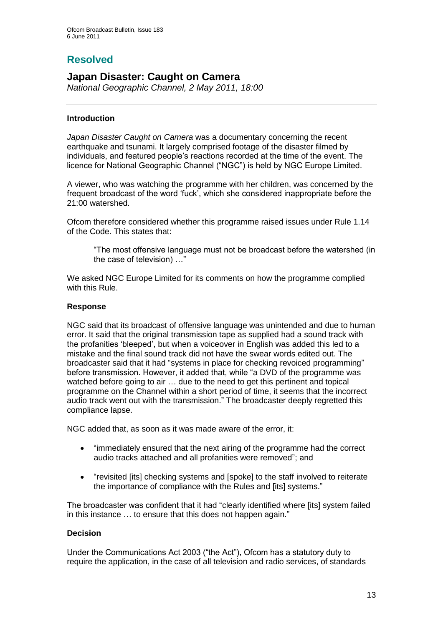# **Resolved**

# **Japan Disaster: Caught on Camera**

*National Geographic Channel, 2 May 2011, 18:00*

### **Introduction**

*Japan Disaster Caught on Camera* was a documentary concerning the recent earthquake and tsunami. It largely comprised footage of the disaster filmed by individuals, and featured people"s reactions recorded at the time of the event. The licence for National Geographic Channel ("NGC") is held by NGC Europe Limited.

A viewer, who was watching the programme with her children, was concerned by the frequent broadcast of the word "fuck", which she considered inappropriate before the 21:00 watershed.

Ofcom therefore considered whether this programme raised issues under Rule 1.14 of the Code. This states that:

"The most offensive language must not be broadcast before the watershed (in the case of television) …"

We asked NGC Europe Limited for its comments on how the programme complied with this Rule.

### **Response**

NGC said that its broadcast of offensive language was unintended and due to human error. It said that the original transmission tape as supplied had a sound track with the profanities "bleeped", but when a voiceover in English was added this led to a mistake and the final sound track did not have the swear words edited out. The broadcaster said that it had "systems in place for checking revoiced programming" before transmission. However, it added that, while "a DVD of the programme was watched before going to air … due to the need to get this pertinent and topical programme on the Channel within a short period of time, it seems that the incorrect audio track went out with the transmission." The broadcaster deeply regretted this compliance lapse.

NGC added that, as soon as it was made aware of the error, it:

- "immediately ensured that the next airing of the programme had the correct audio tracks attached and all profanities were removed"; and
- "revisited [its] checking systems and [spoke] to the staff involved to reiterate the importance of compliance with the Rules and [its] systems."

The broadcaster was confident that it had "clearly identified where [its] system failed in this instance … to ensure that this does not happen again."

### **Decision**

Under the Communications Act 2003 ("the Act"), Ofcom has a statutory duty to require the application, in the case of all television and radio services, of standards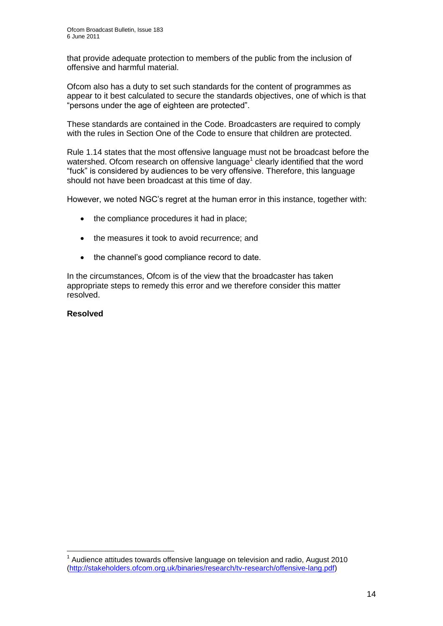that provide adequate protection to members of the public from the inclusion of offensive and harmful material.

Ofcom also has a duty to set such standards for the content of programmes as appear to it best calculated to secure the standards objectives, one of which is that "persons under the age of eighteen are protected".

These standards are contained in the Code. Broadcasters are required to comply with the rules in Section One of the Code to ensure that children are protected.

Rule 1.14 states that the most offensive language must not be broadcast before the watershed. Ofcom research on offensive language<sup>1</sup> clearly identified that the word "fuck" is considered by audiences to be very offensive. Therefore, this language should not have been broadcast at this time of day.

However, we noted NGC"s regret at the human error in this instance, together with:

- the compliance procedures it had in place;
- the measures it took to avoid recurrence; and
- the channel's good compliance record to date.

In the circumstances, Ofcom is of the view that the broadcaster has taken appropriate steps to remedy this error and we therefore consider this matter resolved.

### **Resolved**

1

 $1$  Audience attitudes towards offensive language on television and radio, August 2010 [\(http://stakeholders.ofcom.org.uk/binaries/research/tv-research/offensive-lang.pdf\)](http://stakeholders.ofcom.org.uk/binaries/research/tv-research/offensive-lang.pdf)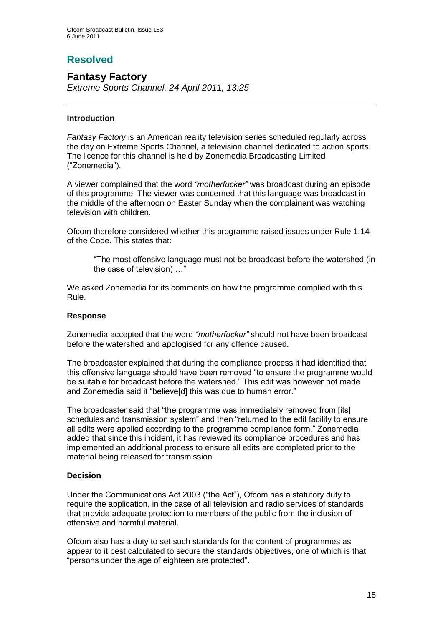# **Resolved**

# **Fantasy Factory** *Extreme Sports Channel, 24 April 2011, 13:25*

### **Introduction**

*Fantasy Factory* is an American reality television series scheduled regularly across the day on Extreme Sports Channel, a television channel dedicated to action sports. The licence for this channel is held by Zonemedia Broadcasting Limited ("Zonemedia").

A viewer complained that the word *"motherfucker"* was broadcast during an episode of this programme. The viewer was concerned that this language was broadcast in the middle of the afternoon on Easter Sunday when the complainant was watching television with children.

Ofcom therefore considered whether this programme raised issues under Rule 1.14 of the Code. This states that:

"The most offensive language must not be broadcast before the watershed (in the case of television) …"

We asked Zonemedia for its comments on how the programme complied with this Rule.

### **Response**

Zonemedia accepted that the word *"motherfucker"* should not have been broadcast before the watershed and apologised for any offence caused.

The broadcaster explained that during the compliance process it had identified that this offensive language should have been removed "to ensure the programme would be suitable for broadcast before the watershed." This edit was however not made and Zonemedia said it "believe[d] this was due to human error."

The broadcaster said that "the programme was immediately removed from [its] schedules and transmission system" and then "returned to the edit facility to ensure all edits were applied according to the programme compliance form." Zonemedia added that since this incident, it has reviewed its compliance procedures and has implemented an additional process to ensure all edits are completed prior to the material being released for transmission.

### **Decision**

Under the Communications Act 2003 ("the Act"), Ofcom has a statutory duty to require the application, in the case of all television and radio services of standards that provide adequate protection to members of the public from the inclusion of offensive and harmful material.

Ofcom also has a duty to set such standards for the content of programmes as appear to it best calculated to secure the standards objectives, one of which is that "persons under the age of eighteen are protected".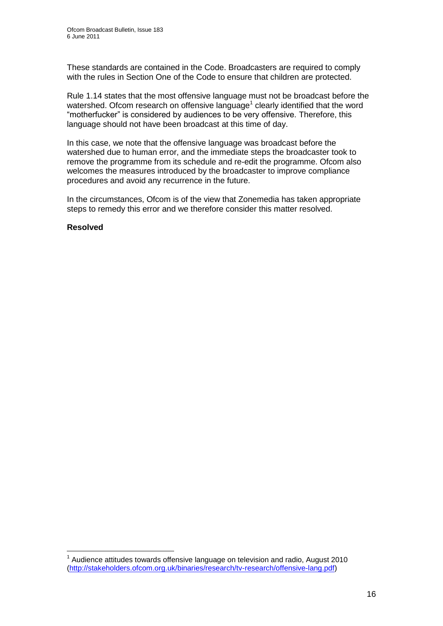These standards are contained in the Code. Broadcasters are required to comply with the rules in Section One of the Code to ensure that children are protected.

Rule 1.14 states that the most offensive language must not be broadcast before the watershed. Ofcom research on offensive language<sup>1</sup> clearly identified that the word "motherfucker" is considered by audiences to be very offensive. Therefore, this language should not have been broadcast at this time of day.

In this case, we note that the offensive language was broadcast before the watershed due to human error, and the immediate steps the broadcaster took to remove the programme from its schedule and re-edit the programme. Ofcom also welcomes the measures introduced by the broadcaster to improve compliance procedures and avoid any recurrence in the future.

In the circumstances, Ofcom is of the view that Zonemedia has taken appropriate steps to remedy this error and we therefore consider this matter resolved.

### **Resolved**

1

 $1$  Audience attitudes towards offensive language on television and radio, August 2010 [\(http://stakeholders.ofcom.org.uk/binaries/research/tv-research/offensive-lang.pdf\)](http://stakeholders.ofcom.org.uk/binaries/research/tv-research/offensive-lang.pdf)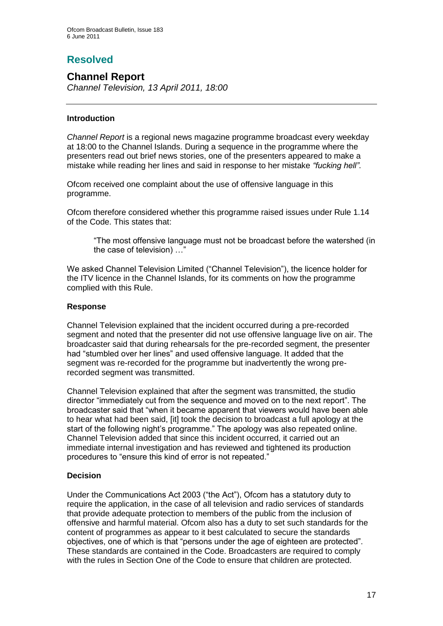# **Resolved**

# **Channel Report**

*Channel Television, 13 April 2011, 18:00*

### **Introduction**

*Channel Report* is a regional news magazine programme broadcast every weekday at 18:00 to the Channel Islands. During a sequence in the programme where the presenters read out brief news stories, one of the presenters appeared to make a mistake while reading her lines and said in response to her mistake *"fucking hell"*.

Ofcom received one complaint about the use of offensive language in this programme.

Ofcom therefore considered whether this programme raised issues under Rule 1.14 of the Code. This states that:

"The most offensive language must not be broadcast before the watershed (in the case of television) …"

We asked Channel Television Limited ("Channel Television"), the licence holder for the ITV licence in the Channel Islands, for its comments on how the programme complied with this Rule.

### **Response**

Channel Television explained that the incident occurred during a pre-recorded segment and noted that the presenter did not use offensive language live on air. The broadcaster said that during rehearsals for the pre-recorded segment, the presenter had "stumbled over her lines" and used offensive language. It added that the segment was re-recorded for the programme but inadvertently the wrong prerecorded segment was transmitted.

Channel Television explained that after the segment was transmitted, the studio director "immediately cut from the sequence and moved on to the next report". The broadcaster said that "when it became apparent that viewers would have been able to hear what had been said, [it] took the decision to broadcast a full apology at the start of the following night's programme." The apology was also repeated online. Channel Television added that since this incident occurred, it carried out an immediate internal investigation and has reviewed and tightened its production procedures to "ensure this kind of error is not repeated."

### **Decision**

Under the Communications Act 2003 ("the Act"), Ofcom has a statutory duty to require the application, in the case of all television and radio services of standards that provide adequate protection to members of the public from the inclusion of offensive and harmful material. Ofcom also has a duty to set such standards for the content of programmes as appear to it best calculated to secure the standards objectives, one of which is that "persons under the age of eighteen are protected". These standards are contained in the Code. Broadcasters are required to comply with the rules in Section One of the Code to ensure that children are protected.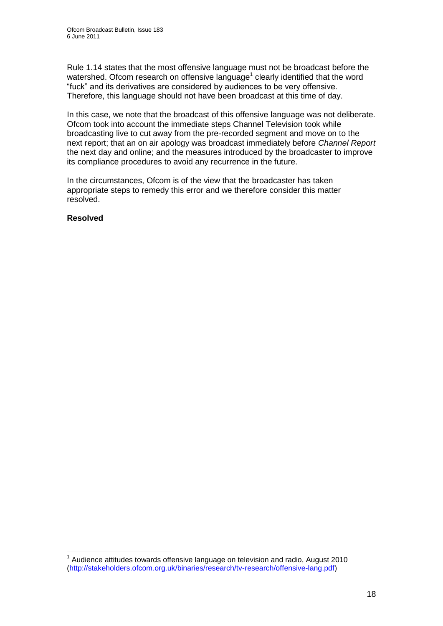Rule 1.14 states that the most offensive language must not be broadcast before the watershed. Ofcom research on offensive language<sup>1</sup> clearly identified that the word "fuck" and its derivatives are considered by audiences to be very offensive. Therefore, this language should not have been broadcast at this time of day.

In this case, we note that the broadcast of this offensive language was not deliberate. Ofcom took into account the immediate steps Channel Television took while broadcasting live to cut away from the pre-recorded segment and move on to the next report; that an on air apology was broadcast immediately before *Channel Report*  the next day and online; and the measures introduced by the broadcaster to improve its compliance procedures to avoid any recurrence in the future.

In the circumstances, Ofcom is of the view that the broadcaster has taken appropriate steps to remedy this error and we therefore consider this matter resolved.

### **Resolved**

1

 $1$  Audience attitudes towards offensive language on television and radio, August 2010 [\(http://stakeholders.ofcom.org.uk/binaries/research/tv-research/offensive-lang.pdf\)](http://stakeholders.ofcom.org.uk/binaries/research/tv-research/offensive-lang.pdf)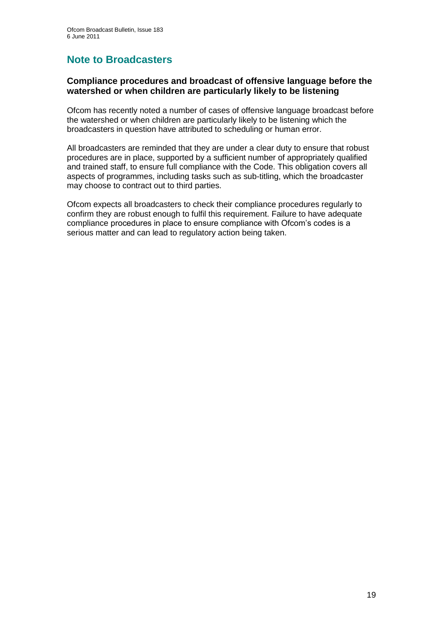# **Note to Broadcasters**

### **Compliance procedures and broadcast of offensive language before the watershed or when children are particularly likely to be listening**

Ofcom has recently noted a number of cases of offensive language broadcast before the watershed or when children are particularly likely to be listening which the broadcasters in question have attributed to scheduling or human error.

All broadcasters are reminded that they are under a clear duty to ensure that robust procedures are in place, supported by a sufficient number of appropriately qualified and trained staff, to ensure full compliance with the Code. This obligation covers all aspects of programmes, including tasks such as sub-titling, which the broadcaster may choose to contract out to third parties.

Ofcom expects all broadcasters to check their compliance procedures regularly to confirm they are robust enough to fulfil this requirement. Failure to have adequate compliance procedures in place to ensure compliance with Ofcom"s codes is a serious matter and can lead to regulatory action being taken.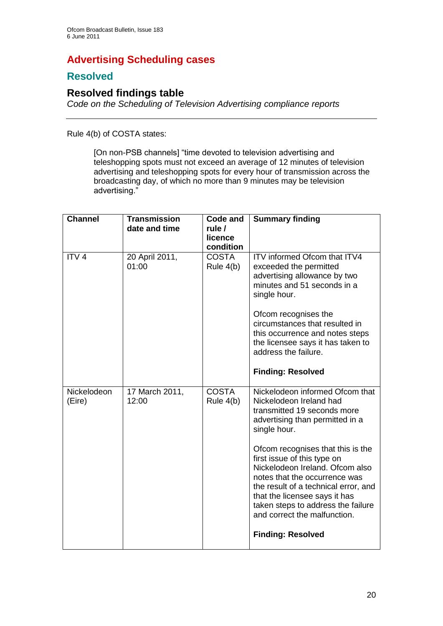# **Advertising Scheduling cases**

# **Resolved**

# **Resolved findings table**

*Code on the Scheduling of Television Advertising compliance reports*

Rule 4(b) of COSTA states:

[On non-PSB channels] "time devoted to television advertising and teleshopping spots must not exceed an average of 12 minutes of television advertising and teleshopping spots for every hour of transmission across the broadcasting day, of which no more than 9 minutes may be television advertising."

| <b>Channel</b>        | <b>Transmission</b><br>date and time | Code and<br>rule /<br>licence<br>condition | <b>Summary finding</b>                                                                                                                                                                                                                                                                                                                                                                                                                                          |
|-----------------------|--------------------------------------|--------------------------------------------|-----------------------------------------------------------------------------------------------------------------------------------------------------------------------------------------------------------------------------------------------------------------------------------------------------------------------------------------------------------------------------------------------------------------------------------------------------------------|
| ITV <sub>4</sub>      | 20 April 2011,<br>01:00              | <b>COSTA</b><br>Rule $4(b)$                | ITV informed Ofcom that ITV4<br>exceeded the permitted<br>advertising allowance by two<br>minutes and 51 seconds in a<br>single hour.<br>Ofcom recognises the<br>circumstances that resulted in<br>this occurrence and notes steps<br>the licensee says it has taken to<br>address the failure.<br><b>Finding: Resolved</b>                                                                                                                                     |
| Nickelodeon<br>(Eire) | 17 March 2011,<br>12:00              | <b>COSTA</b><br>Rule $4(b)$                | Nickelodeon informed Ofcom that<br>Nickelodeon Ireland had<br>transmitted 19 seconds more<br>advertising than permitted in a<br>single hour.<br>Ofcom recognises that this is the<br>first issue of this type on<br>Nickelodeon Ireland, Ofcom also<br>notes that the occurrence was<br>the result of a technical error, and<br>that the licensee says it has<br>taken steps to address the failure<br>and correct the malfunction.<br><b>Finding: Resolved</b> |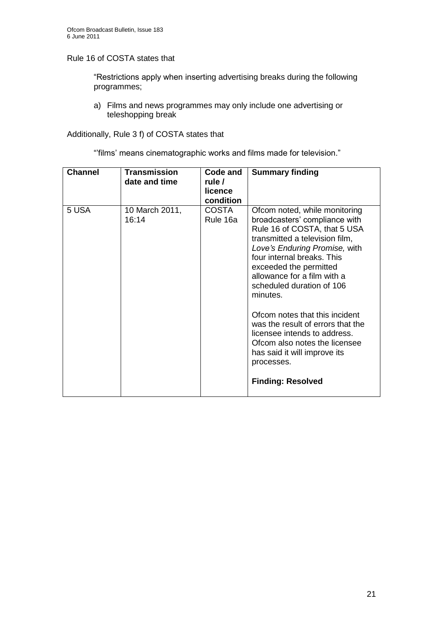Rule 16 of COSTA states that

"Restrictions apply when inserting advertising breaks during the following programmes;

a) Films and news programmes may only include one advertising or teleshopping break

Additionally, Rule 3 f) of COSTA states that

""films" means cinematographic works and films made for television."

| <b>Channel</b> | <b>Transmission</b><br>date and time | Code and<br>rule /<br>licence<br>condition | <b>Summary finding</b>                                                                                                                                                                                                                                                                                                                                                                                                                                                                                              |
|----------------|--------------------------------------|--------------------------------------------|---------------------------------------------------------------------------------------------------------------------------------------------------------------------------------------------------------------------------------------------------------------------------------------------------------------------------------------------------------------------------------------------------------------------------------------------------------------------------------------------------------------------|
| 5 USA          | 10 March 2011,<br>16:14              | <b>COSTA</b><br>Rule 16a                   | Ofcom noted, while monitoring<br>broadcasters' compliance with<br>Rule 16 of COSTA, that 5 USA<br>transmitted a television film,<br>Love's Enduring Promise, with<br>four internal breaks. This<br>exceeded the permitted<br>allowance for a film with a<br>scheduled duration of 106<br>minutes.<br>Ofcom notes that this incident<br>was the result of errors that the<br>licensee intends to address.<br>Ofcom also notes the licensee<br>has said it will improve its<br>processes.<br><b>Finding: Resolved</b> |
|                |                                      |                                            |                                                                                                                                                                                                                                                                                                                                                                                                                                                                                                                     |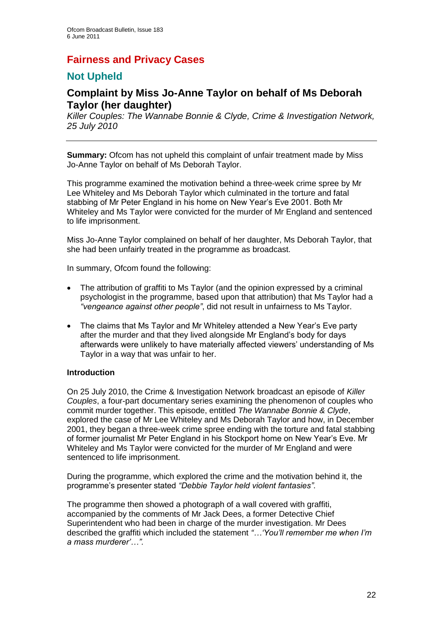# **Fairness and Privacy Cases**

# **Not Upheld**

# **Complaint by Miss Jo-Anne Taylor on behalf of Ms Deborah Taylor (her daughter)**

*Killer Couples: The Wannabe Bonnie & Clyde, Crime & Investigation Network, 25 July 2010*

**Summary:** Ofcom has not upheld this complaint of unfair treatment made by Miss Jo-Anne Taylor on behalf of Ms Deborah Taylor.

This programme examined the motivation behind a three-week crime spree by Mr Lee Whiteley and Ms Deborah Taylor which culminated in the torture and fatal stabbing of Mr Peter England in his home on New Year"s Eve 2001. Both Mr Whiteley and Ms Taylor were convicted for the murder of Mr England and sentenced to life imprisonment.

Miss Jo-Anne Taylor complained on behalf of her daughter, Ms Deborah Taylor, that she had been unfairly treated in the programme as broadcast.

In summary, Ofcom found the following:

- The attribution of graffiti to Ms Taylor (and the opinion expressed by a criminal psychologist in the programme, based upon that attribution) that Ms Taylor had a *"vengeance against other people"*, did not result in unfairness to Ms Taylor.
- The claims that Ms Taylor and Mr Whiteley attended a New Year"s Eve party after the murder and that they lived alongside Mr England"s body for days afterwards were unlikely to have materially affected viewers" understanding of Ms Taylor in a way that was unfair to her.

### **Introduction**

On 25 July 2010, the Crime & Investigation Network broadcast an episode of *Killer Couples*, a four-part documentary series examining the phenomenon of couples who commit murder together. This episode, entitled *The Wannabe Bonnie & Clyde*, explored the case of Mr Lee Whiteley and Ms Deborah Taylor and how, in December 2001, they began a three-week crime spree ending with the torture and fatal stabbing of former journalist Mr Peter England in his Stockport home on New Year"s Eve. Mr Whiteley and Ms Taylor were convicted for the murder of Mr England and were sentenced to life imprisonment.

During the programme, which explored the crime and the motivation behind it, the programme"s presenter stated *"Debbie Taylor held violent fantasies"*.

The programme then showed a photograph of a wall covered with graffiti, accompanied by the comments of Mr Jack Dees, a former Detective Chief Superintendent who had been in charge of the murder investigation. Mr Dees described the graffiti which included the statement *"…"You"ll remember me when I"m a mass murderer"…".*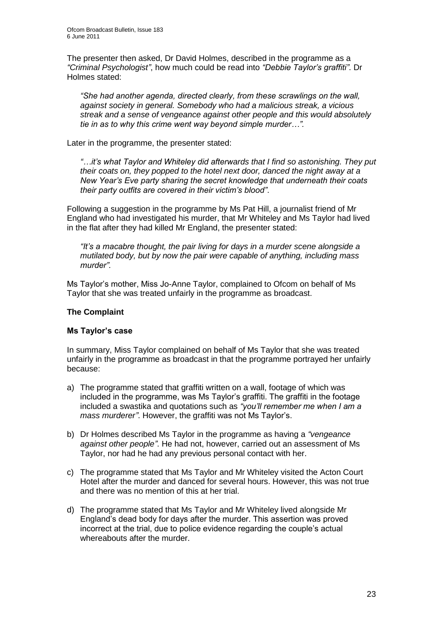The presenter then asked, Dr David Holmes, described in the programme as a *"Criminal Psychologist"*, how much could be read into *"Debbie Taylor"s graffiti"*. Dr Holmes stated:

*"She had another agenda, directed clearly, from these scrawlings on the wall, against society in general. Somebody who had a malicious streak, a vicious streak and a sense of vengeance against other people and this would absolutely tie in as to why this crime went way beyond simple murder…".*

Later in the programme, the presenter stated:

*"…it"s what Taylor and Whiteley did afterwards that I find so astonishing. They put their coats on, they popped to the hotel next door, danced the night away at a New Year"s Eve party sharing the secret knowledge that underneath their coats their party outfits are covered in their victim"s blood"*.

Following a suggestion in the programme by Ms Pat Hill, a journalist friend of Mr England who had investigated his murder, that Mr Whiteley and Ms Taylor had lived in the flat after they had killed Mr England, the presenter stated:

*"It"s a macabre thought, the pair living for days in a murder scene alongside a mutilated body, but by now the pair were capable of anything, including mass murder".*

Ms Taylor"s mother, Miss Jo-Anne Taylor, complained to Ofcom on behalf of Ms Taylor that she was treated unfairly in the programme as broadcast.

### **The Complaint**

### **Ms Taylor's case**

In summary, Miss Taylor complained on behalf of Ms Taylor that she was treated unfairly in the programme as broadcast in that the programme portrayed her unfairly because:

- a) The programme stated that graffiti written on a wall, footage of which was included in the programme, was Ms Taylor"s graffiti. The graffiti in the footage included a swastika and quotations such as *"you"ll remember me when I am a mass murderer"*. However, the graffiti was not Ms Taylor"s.
- b) Dr Holmes described Ms Taylor in the programme as having a *"vengeance against other people"*. He had not, however, carried out an assessment of Ms Taylor, nor had he had any previous personal contact with her.
- c) The programme stated that Ms Taylor and Mr Whiteley visited the Acton Court Hotel after the murder and danced for several hours. However, this was not true and there was no mention of this at her trial.
- d) The programme stated that Ms Taylor and Mr Whiteley lived alongside Mr England"s dead body for days after the murder. This assertion was proved incorrect at the trial, due to police evidence regarding the couple"s actual whereabouts after the murder.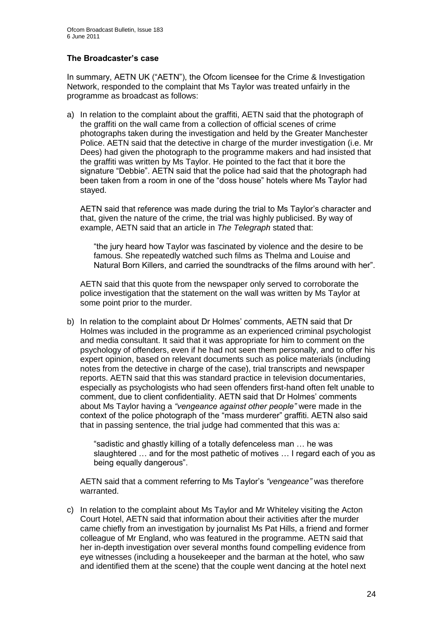### **The Broadcaster's case**

In summary, AETN UK ("AETN"), the Ofcom licensee for the Crime & Investigation Network, responded to the complaint that Ms Taylor was treated unfairly in the programme as broadcast as follows:

a) In relation to the complaint about the graffiti, AETN said that the photograph of the graffiti on the wall came from a collection of official scenes of crime photographs taken during the investigation and held by the Greater Manchester Police. AETN said that the detective in charge of the murder investigation (i.e. Mr Dees) had given the photograph to the programme makers and had insisted that the graffiti was written by Ms Taylor. He pointed to the fact that it bore the signature "Debbie". AETN said that the police had said that the photograph had been taken from a room in one of the "doss house" hotels where Ms Taylor had stayed.

AETN said that reference was made during the trial to Ms Taylor"s character and that, given the nature of the crime, the trial was highly publicised. By way of example, AETN said that an article in *The Telegraph* stated that:

"the jury heard how Taylor was fascinated by violence and the desire to be famous. She repeatedly watched such films as Thelma and Louise and Natural Born Killers, and carried the soundtracks of the films around with her".

AETN said that this quote from the newspaper only served to corroborate the police investigation that the statement on the wall was written by Ms Taylor at some point prior to the murder.

b) In relation to the complaint about Dr Holmes" comments, AETN said that Dr Holmes was included in the programme as an experienced criminal psychologist and media consultant. It said that it was appropriate for him to comment on the psychology of offenders, even if he had not seen them personally, and to offer his expert opinion, based on relevant documents such as police materials (including notes from the detective in charge of the case), trial transcripts and newspaper reports. AETN said that this was standard practice in television documentaries, especially as psychologists who had seen offenders first-hand often felt unable to comment, due to client confidentiality. AETN said that Dr Holmes" comments about Ms Taylor having a *"vengeance against other people"* were made in the context of the police photograph of the "mass murderer" graffiti. AETN also said that in passing sentence, the trial judge had commented that this was a:

"sadistic and ghastly killing of a totally defenceless man … he was slaughtered … and for the most pathetic of motives … I regard each of you as being equally dangerous".

AETN said that a comment referring to Ms Taylor"s *"vengeance"* was therefore warranted.

c) In relation to the complaint about Ms Taylor and Mr Whiteley visiting the Acton Court Hotel, AETN said that information about their activities after the murder came chiefly from an investigation by journalist Ms Pat Hills, a friend and former colleague of Mr England, who was featured in the programme. AETN said that her in-depth investigation over several months found compelling evidence from eye witnesses (including a housekeeper and the barman at the hotel, who saw and identified them at the scene) that the couple went dancing at the hotel next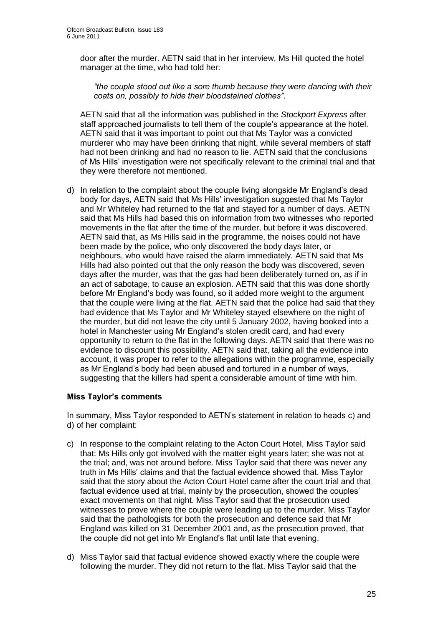door after the murder. AETN said that in her interview, Ms Hill quoted the hotel manager at the time, who had told her:

*"the couple stood out like a sore thumb because they were dancing with their coats on, possibly to hide their bloodstained clothes"*.

AETN said that all the information was published in the *Stockport Express* after staff approached journalists to tell them of the couple"s appearance at the hotel. AETN said that it was important to point out that Ms Taylor was a convicted murderer who may have been drinking that night, while several members of staff had not been drinking and had no reason to lie. AETN said that the conclusions of Ms Hills" investigation were not specifically relevant to the criminal trial and that they were therefore not mentioned.

d) In relation to the complaint about the couple living alongside Mr England"s dead body for days, AETN said that Ms Hills" investigation suggested that Ms Taylor and Mr Whiteley had returned to the flat and stayed for a number of days. AETN said that Ms Hills had based this on information from two witnesses who reported movements in the flat after the time of the murder, but before it was discovered. AETN said that, as Ms Hills said in the programme, the noises could not have been made by the police, who only discovered the body days later, or neighbours, who would have raised the alarm immediately. AETN said that Ms Hills had also pointed out that the only reason the body was discovered, seven days after the murder, was that the gas had been deliberately turned on, as if in an act of sabotage, to cause an explosion. AETN said that this was done shortly before Mr England"s body was found, so it added more weight to the argument that the couple were living at the flat. AETN said that the police had said that they had evidence that Ms Taylor and Mr Whiteley stayed elsewhere on the night of the murder, but did not leave the city until 5 January 2002, having booked into a hotel in Manchester using Mr England"s stolen credit card, and had every opportunity to return to the flat in the following days. AETN said that there was no evidence to discount this possibility. AETN said that, taking all the evidence into account, it was proper to refer to the allegations within the programme, especially as Mr England"s body had been abused and tortured in a number of ways, suggesting that the killers had spent a considerable amount of time with him.

### **Miss Taylor's comments**

In summary, Miss Taylor responded to AETN's statement in relation to heads c) and d) of her complaint:

- c) In response to the complaint relating to the Acton Court Hotel, Miss Taylor said that: Ms Hills only got involved with the matter eight years later; she was not at the trial; and, was not around before. Miss Taylor said that there was never any truth in Ms Hills" claims and that the factual evidence showed that. Miss Taylor said that the story about the Acton Court Hotel came after the court trial and that factual evidence used at trial, mainly by the prosecution, showed the couples" exact movements on that night. Miss Taylor said that the prosecution used witnesses to prove where the couple were leading up to the murder. Miss Taylor said that the pathologists for both the prosecution and defence said that Mr England was killed on 31 December 2001 and, as the prosecution proved, that the couple did not get into Mr England"s flat until late that evening.
- d) Miss Taylor said that factual evidence showed exactly where the couple were following the murder. They did not return to the flat. Miss Taylor said that the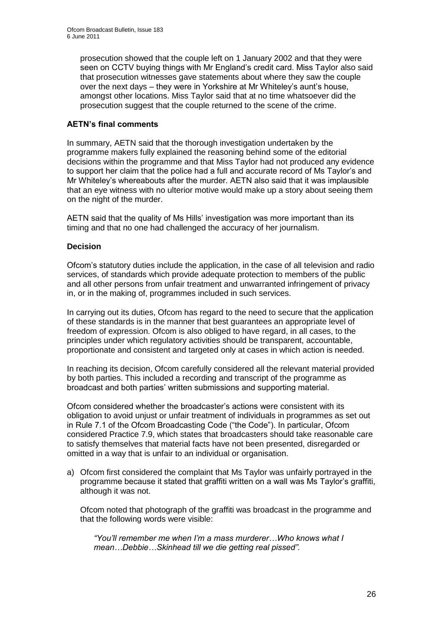prosecution showed that the couple left on 1 January 2002 and that they were seen on CCTV buying things with Mr England's credit card. Miss Taylor also said that prosecution witnesses gave statements about where they saw the couple over the next days – they were in Yorkshire at Mr Whiteley"s aunt"s house, amongst other locations. Miss Taylor said that at no time whatsoever did the prosecution suggest that the couple returned to the scene of the crime.

### **AETN's final comments**

In summary, AETN said that the thorough investigation undertaken by the programme makers fully explained the reasoning behind some of the editorial decisions within the programme and that Miss Taylor had not produced any evidence to support her claim that the police had a full and accurate record of Ms Taylor"s and Mr Whiteley"s whereabouts after the murder. AETN also said that it was implausible that an eye witness with no ulterior motive would make up a story about seeing them on the night of the murder.

AETN said that the quality of Ms Hills" investigation was more important than its timing and that no one had challenged the accuracy of her journalism.

### **Decision**

Ofcom"s statutory duties include the application, in the case of all television and radio services, of standards which provide adequate protection to members of the public and all other persons from unfair treatment and unwarranted infringement of privacy in, or in the making of, programmes included in such services.

In carrying out its duties, Ofcom has regard to the need to secure that the application of these standards is in the manner that best guarantees an appropriate level of freedom of expression. Ofcom is also obliged to have regard, in all cases, to the principles under which regulatory activities should be transparent, accountable, proportionate and consistent and targeted only at cases in which action is needed.

In reaching its decision, Ofcom carefully considered all the relevant material provided by both parties. This included a recording and transcript of the programme as broadcast and both parties" written submissions and supporting material.

Ofcom considered whether the broadcaster"s actions were consistent with its obligation to avoid unjust or unfair treatment of individuals in programmes as set out in Rule 7.1 of the Ofcom Broadcasting Code ("the Code"). In particular, Ofcom considered Practice 7.9, which states that broadcasters should take reasonable care to satisfy themselves that material facts have not been presented, disregarded or omitted in a way that is unfair to an individual or organisation.

a) Ofcom first considered the complaint that Ms Taylor was unfairly portrayed in the programme because it stated that graffiti written on a wall was Ms Taylor"s graffiti, although it was not.

Ofcom noted that photograph of the graffiti was broadcast in the programme and that the following words were visible:

*"You"ll remember me when I"m a mass murderer…Who knows what I mean…Debbie…Skinhead till we die getting real pissed".*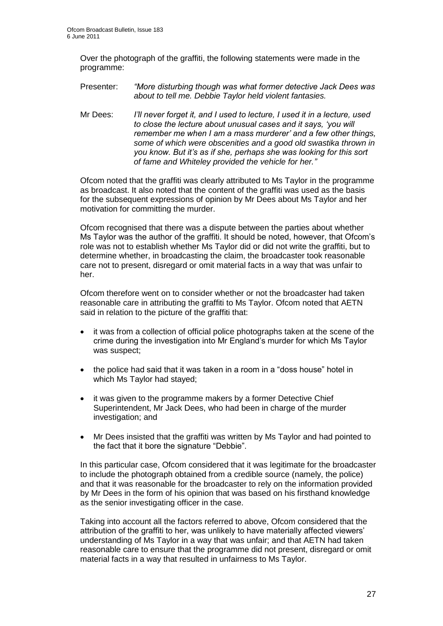Over the photograph of the graffiti, the following statements were made in the programme:

- Presenter: *"More disturbing though was what former detective Jack Dees was about to tell me. Debbie Taylor held violent fantasies.*
- Mr Dees: *I"ll never forget it, and I used to lecture, I used it in a lecture, used to close the lecture about unusual cases and it says, "you will remember me when I am a mass murderer" and a few other things, some of which were obscenities and a good old swastika thrown in you know. But it"s as if she, perhaps she was looking for this sort of fame and Whiteley provided the vehicle for her."*

Ofcom noted that the graffiti was clearly attributed to Ms Taylor in the programme as broadcast. It also noted that the content of the graffiti was used as the basis for the subsequent expressions of opinion by Mr Dees about Ms Taylor and her motivation for committing the murder.

Ofcom recognised that there was a dispute between the parties about whether Ms Taylor was the author of the graffiti. It should be noted, however, that Ofcom"s role was not to establish whether Ms Taylor did or did not write the graffiti, but to determine whether, in broadcasting the claim, the broadcaster took reasonable care not to present, disregard or omit material facts in a way that was unfair to her.

Ofcom therefore went on to consider whether or not the broadcaster had taken reasonable care in attributing the graffiti to Ms Taylor. Ofcom noted that AETN said in relation to the picture of the graffiti that:

- it was from a collection of official police photographs taken at the scene of the crime during the investigation into Mr England"s murder for which Ms Taylor was suspect;
- the police had said that it was taken in a room in a "doss house" hotel in which Ms Taylor had stayed;
- it was given to the programme makers by a former Detective Chief Superintendent, Mr Jack Dees, who had been in charge of the murder investigation; and
- Mr Dees insisted that the graffiti was written by Ms Taylor and had pointed to the fact that it bore the signature "Debbie".

In this particular case, Ofcom considered that it was legitimate for the broadcaster to include the photograph obtained from a credible source (namely, the police) and that it was reasonable for the broadcaster to rely on the information provided by Mr Dees in the form of his opinion that was based on his firsthand knowledge as the senior investigating officer in the case.

Taking into account all the factors referred to above, Ofcom considered that the attribution of the graffiti to her, was unlikely to have materially affected viewers" understanding of Ms Taylor in a way that was unfair; and that AETN had taken reasonable care to ensure that the programme did not present, disregard or omit material facts in a way that resulted in unfairness to Ms Taylor.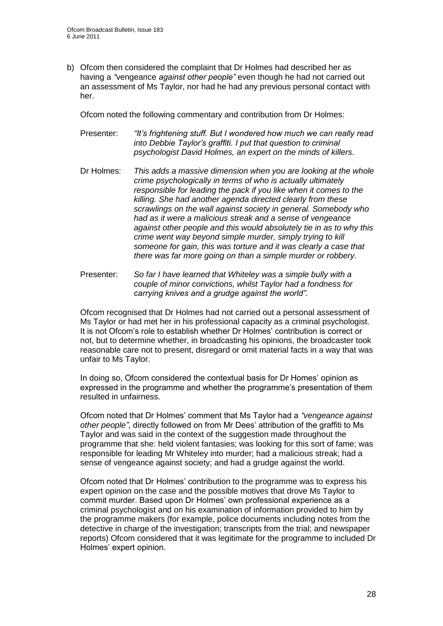b) Ofcom then considered the complaint that Dr Holmes had described her as having a *"*vengeance *against other people"* even though he had not carried out an assessment of Ms Taylor, nor had he had any previous personal contact with her.

Ofcom noted the following commentary and contribution from Dr Holmes:

Presenter: *"It"s frightening stuff. But I wondered how much we can really read into Debbie Taylor"s graffiti. I put that question to criminal psychologist David Holmes, an expert on the minds of killers.*

- Dr Holmes: *This adds a massive dimension when you are looking at the whole crime psychologically in terms of who is actually ultimately responsible for leading the pack if you like when it comes to the killing. She had another agenda directed clearly from these scrawlings on the wall against society in general. Somebody who had as it were a malicious streak and a sense of vengeance against other people and this would absolutely tie in as to why this crime went way beyond simple murder, simply trying to kill someone for gain, this was torture and it was clearly a case that there was far more going on than a simple murder or robbery.*
- Presenter: *So far I have learned that Whiteley was a simple bully with a couple of minor convictions, whilst Taylor had a fondness for carrying knives and a grudge against the world".*

Ofcom recognised that Dr Holmes had not carried out a personal assessment of Ms Taylor or had met her in his professional capacity as a criminal psychologist. It is not Ofcom"s role to establish whether Dr Holmes" contribution is correct or not, but to determine whether, in broadcasting his opinions, the broadcaster took reasonable care not to present, disregard or omit material facts in a way that was unfair to Ms Taylor.

In doing so, Ofcom considered the contextual basis for Dr Homes' opinion as expressed in the programme and whether the programme"s presentation of them resulted in unfairness.

Ofcom noted that Dr Holmes" comment that Ms Taylor had a *"vengeance against other people"*, directly followed on from Mr Dees" attribution of the graffiti to Ms Taylor and was said in the context of the suggestion made throughout the programme that she: held violent fantasies; was looking for this sort of fame; was responsible for leading Mr Whiteley into murder; had a malicious streak; had a sense of vengeance against society; and had a grudge against the world.

Ofcom noted that Dr Holmes" contribution to the programme was to express his expert opinion on the case and the possible motives that drove Ms Taylor to commit murder. Based upon Dr Holmes" own professional experience as a criminal psychologist and on his examination of information provided to him by the programme makers (for example, police documents including notes from the detective in charge of the investigation; transcripts from the trial; and newspaper reports) Ofcom considered that it was legitimate for the programme to included Dr Holmes' expert opinion.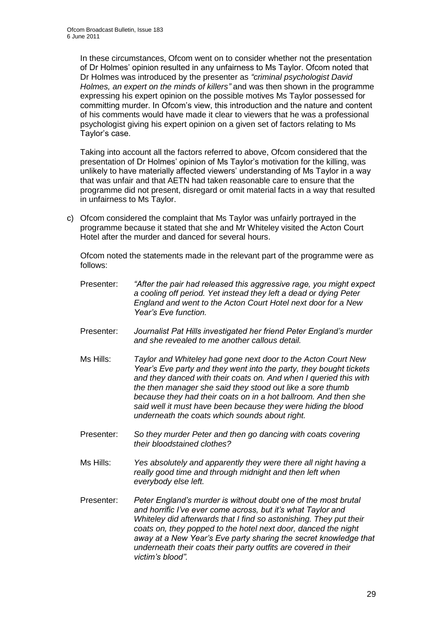In these circumstances, Ofcom went on to consider whether not the presentation of Dr Holmes" opinion resulted in any unfairness to Ms Taylor. Ofcom noted that Dr Holmes was introduced by the presenter as *"criminal psychologist David Holmes, an expert on the minds of killers"* and was then shown in the programme expressing his expert opinion on the possible motives Ms Taylor possessed for committing murder. In Ofcom"s view, this introduction and the nature and content of his comments would have made it clear to viewers that he was a professional psychologist giving his expert opinion on a given set of factors relating to Ms Taylor"s case.

Taking into account all the factors referred to above, Ofcom considered that the presentation of Dr Holmes" opinion of Ms Taylor"s motivation for the killing, was unlikely to have materially affected viewers' understanding of Ms Taylor in a way that was unfair and that AETN had taken reasonable care to ensure that the programme did not present, disregard or omit material facts in a way that resulted in unfairness to Ms Taylor.

c) Ofcom considered the complaint that Ms Taylor was unfairly portrayed in the programme because it stated that she and Mr Whiteley visited the Acton Court Hotel after the murder and danced for several hours.

Ofcom noted the statements made in the relevant part of the programme were as follows:

- Presenter: *"After the pair had released this aggressive rage, you might expect a cooling off period. Yet instead they left a dead or dying Peter England and went to the Acton Court Hotel next door for a New Year"s Eve function.*
- Presenter: *Journalist Pat Hills investigated her friend Peter England"s murder and she revealed to me another callous detail.*
- Ms Hills: *Taylor and Whiteley had gone next door to the Acton Court New Year"s Eve party and they went into the party, they bought tickets and they danced with their coats on. And when I queried this with the then manager she said they stood out like a sore thumb because they had their coats on in a hot ballroom. And then she said well it must have been because they were hiding the blood underneath the coats which sounds about right.*
- Presenter: *So they murder Peter and then go dancing with coats covering their bloodstained clothes?*
- Ms Hills: *Yes absolutely and apparently they were there all night having a really good time and through midnight and then left when everybody else left.*
- Presenter: *Peter England"s murder is without doubt one of the most brutal and horrific I"ve ever come across, but it"s what Taylor and Whiteley did afterwards that I find so astonishing. They put their coats on, they popped to the hotel next door, danced the night away at a New Year"s Eve party sharing the secret knowledge that underneath their coats their party outfits are covered in their victim"s blood".*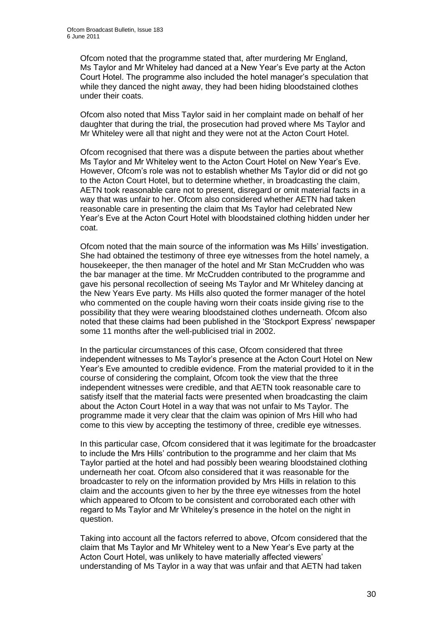Ofcom noted that the programme stated that, after murdering Mr England, Ms Taylor and Mr Whiteley had danced at a New Year"s Eve party at the Acton Court Hotel. The programme also included the hotel manager"s speculation that while they danced the night away, they had been hiding bloodstained clothes under their coats.

Ofcom also noted that Miss Taylor said in her complaint made on behalf of her daughter that during the trial, the prosecution had proved where Ms Taylor and Mr Whiteley were all that night and they were not at the Acton Court Hotel.

Ofcom recognised that there was a dispute between the parties about whether Ms Taylor and Mr Whiteley went to the Acton Court Hotel on New Year"s Eve. However, Ofcom"s role was not to establish whether Ms Taylor did or did not go to the Acton Court Hotel, but to determine whether, in broadcasting the claim, AETN took reasonable care not to present, disregard or omit material facts in a way that was unfair to her. Ofcom also considered whether AETN had taken reasonable care in presenting the claim that Ms Taylor had celebrated New Year"s Eve at the Acton Court Hotel with bloodstained clothing hidden under her coat.

Ofcom noted that the main source of the information was Ms Hills" investigation. She had obtained the testimony of three eye witnesses from the hotel namely, a housekeeper, the then manager of the hotel and Mr Stan McCrudden who was the bar manager at the time. Mr McCrudden contributed to the programme and gave his personal recollection of seeing Ms Taylor and Mr Whiteley dancing at the New Years Eve party. Ms Hills also quoted the former manager of the hotel who commented on the couple having worn their coats inside giving rise to the possibility that they were wearing bloodstained clothes underneath. Ofcom also noted that these claims had been published in the "Stockport Express" newspaper some 11 months after the well-publicised trial in 2002.

In the particular circumstances of this case, Ofcom considered that three independent witnesses to Ms Taylor"s presence at the Acton Court Hotel on New Year"s Eve amounted to credible evidence. From the material provided to it in the course of considering the complaint, Ofcom took the view that the three independent witnesses were credible, and that AETN took reasonable care to satisfy itself that the material facts were presented when broadcasting the claim about the Acton Court Hotel in a way that was not unfair to Ms Taylor. The programme made it very clear that the claim was opinion of Mrs Hill who had come to this view by accepting the testimony of three, credible eye witnesses.

In this particular case, Ofcom considered that it was legitimate for the broadcaster to include the Mrs Hills" contribution to the programme and her claim that Ms Taylor partied at the hotel and had possibly been wearing bloodstained clothing underneath her coat. Ofcom also considered that it was reasonable for the broadcaster to rely on the information provided by Mrs Hills in relation to this claim and the accounts given to her by the three eye witnesses from the hotel which appeared to Ofcom to be consistent and corroborated each other with regard to Ms Taylor and Mr Whiteley"s presence in the hotel on the night in question.

Taking into account all the factors referred to above, Ofcom considered that the claim that Ms Taylor and Mr Whiteley went to a New Year"s Eve party at the Acton Court Hotel, was unlikely to have materially affected viewers' understanding of Ms Taylor in a way that was unfair and that AETN had taken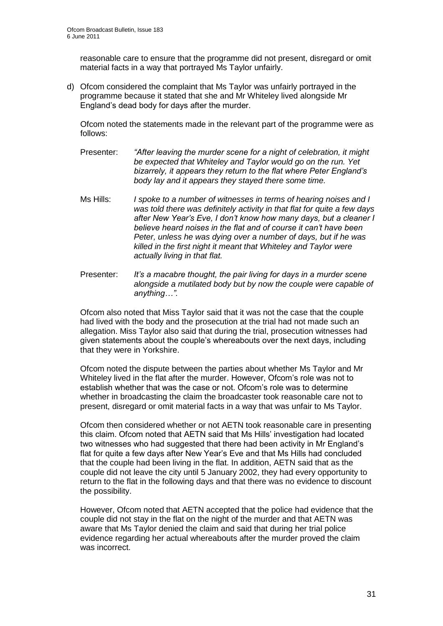reasonable care to ensure that the programme did not present, disregard or omit material facts in a way that portrayed Ms Taylor unfairly.

d) Ofcom considered the complaint that Ms Taylor was unfairly portrayed in the programme because it stated that she and Mr Whiteley lived alongside Mr England"s dead body for days after the murder.

Ofcom noted the statements made in the relevant part of the programme were as follows:

- Presenter: *"After leaving the murder scene for a night of celebration, it might be expected that Whiteley and Taylor would go on the run. Yet bizarrely, it appears they return to the flat where Peter England"s body lay and it appears they stayed there some time.*
- Ms Hills: *I spoke to a number of witnesses in terms of hearing noises and I was told there was definitely activity in that flat for quite a few days after New Year"s Eve, I don"t know how many days, but a cleaner I believe heard noises in the flat and of course it can"t have been Peter, unless he was dying over a number of days, but if he was killed in the first night it meant that Whiteley and Taylor were actually living in that flat.*
- Presenter: *It"s a macabre thought, the pair living for days in a murder scene alongside a mutilated body but by now the couple were capable of anything…".*

Ofcom also noted that Miss Taylor said that it was not the case that the couple had lived with the body and the prosecution at the trial had not made such an allegation. Miss Taylor also said that during the trial, prosecution witnesses had given statements about the couple"s whereabouts over the next days, including that they were in Yorkshire.

Ofcom noted the dispute between the parties about whether Ms Taylor and Mr Whiteley lived in the flat after the murder. However, Ofcom's role was not to establish whether that was the case or not. Ofcom"s role was to determine whether in broadcasting the claim the broadcaster took reasonable care not to present, disregard or omit material facts in a way that was unfair to Ms Taylor.

Ofcom then considered whether or not AETN took reasonable care in presenting this claim. Ofcom noted that AETN said that Ms Hills" investigation had located two witnesses who had suggested that there had been activity in Mr England"s flat for quite a few days after New Year"s Eve and that Ms Hills had concluded that the couple had been living in the flat. In addition, AETN said that as the couple did not leave the city until 5 January 2002, they had every opportunity to return to the flat in the following days and that there was no evidence to discount the possibility.

However, Ofcom noted that AETN accepted that the police had evidence that the couple did not stay in the flat on the night of the murder and that AETN was aware that Ms Taylor denied the claim and said that during her trial police evidence regarding her actual whereabouts after the murder proved the claim was incorrect.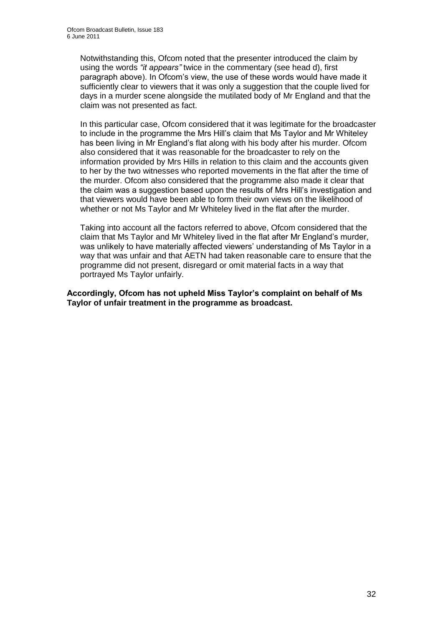Notwithstanding this, Ofcom noted that the presenter introduced the claim by using the words *"it appears"* twice in the commentary (see head d), first paragraph above). In Ofcom"s view, the use of these words would have made it sufficiently clear to viewers that it was only a suggestion that the couple lived for days in a murder scene alongside the mutilated body of Mr England and that the claim was not presented as fact.

In this particular case, Ofcom considered that it was legitimate for the broadcaster to include in the programme the Mrs Hill"s claim that Ms Taylor and Mr Whiteley has been living in Mr England"s flat along with his body after his murder. Ofcom also considered that it was reasonable for the broadcaster to rely on the information provided by Mrs Hills in relation to this claim and the accounts given to her by the two witnesses who reported movements in the flat after the time of the murder. Ofcom also considered that the programme also made it clear that the claim was a suggestion based upon the results of Mrs Hill"s investigation and that viewers would have been able to form their own views on the likelihood of whether or not Ms Taylor and Mr Whiteley lived in the flat after the murder.

Taking into account all the factors referred to above, Ofcom considered that the claim that Ms Taylor and Mr Whiteley lived in the flat after Mr England"s murder, was unlikely to have materially affected viewers" understanding of Ms Taylor in a way that was unfair and that AETN had taken reasonable care to ensure that the programme did not present, disregard or omit material facts in a way that portrayed Ms Taylor unfairly.

**Accordingly, Ofcom has not upheld Miss Taylor's complaint on behalf of Ms Taylor of unfair treatment in the programme as broadcast.**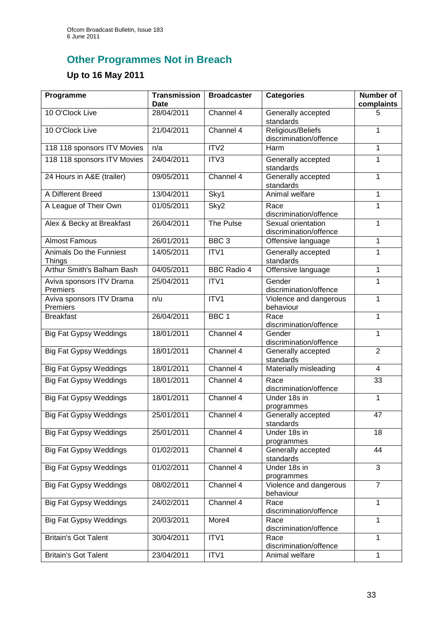# **Other Programmes Not in Breach**

# **Up to 16 May 2011**

| Programme                                | <b>Transmission</b><br>Date | <b>Broadcaster</b> | <b>Categories</b>                            | <b>Number of</b><br>complaints |
|------------------------------------------|-----------------------------|--------------------|----------------------------------------------|--------------------------------|
| 10 O'Clock Live                          | 28/04/2011                  | Channel 4          | Generally accepted<br>standards              | 5                              |
| 10 O'Clock Live                          | 21/04/2011                  | Channel 4          | Religious/Beliefs<br>discrimination/offence  | 1                              |
| 118 118 sponsors ITV Movies              | n/a                         | ITV <sub>2</sub>   | Harm                                         | 1                              |
| 118 118 sponsors ITV Movies              | 24/04/2011                  | ITV3               | Generally accepted<br>standards              | 1                              |
| 24 Hours in A&E (trailer)                | 09/05/2011                  | Channel 4          | Generally accepted<br>standards              | 1                              |
| A Different Breed                        | 13/04/2011                  | Sky1               | Animal welfare                               | 1                              |
| A League of Their Own                    | 01/05/2011                  | Sky2               | Race<br>discrimination/offence               | 1                              |
| Alex & Becky at Breakfast                | 26/04/2011                  | The Pulse          | Sexual orientation<br>discrimination/offence | 1                              |
| <b>Almost Famous</b>                     | 26/01/2011                  | BBC <sub>3</sub>   | Offensive language                           | 1                              |
| Animals Do the Funniest<br><b>Things</b> | 14/05/2011                  | ITV1               | Generally accepted<br>standards              | 1                              |
| Arthur Smith's Balham Bash               | 04/05/2011                  | <b>BBC Radio 4</b> | Offensive language                           | 1                              |
| Aviva sponsors ITV Drama<br>Premiers     | 25/04/2011                  | ITV1               | Gender<br>discrimination/offence             | 1                              |
| Aviva sponsors ITV Drama<br>Premiers     | n/u                         | ITV1               | Violence and dangerous<br>behaviour          | 1                              |
| <b>Breakfast</b>                         | 26/04/2011                  | BBC <sub>1</sub>   | Race<br>discrimination/offence               | 1                              |
| <b>Big Fat Gypsy Weddings</b>            | 18/01/2011                  | Channel 4          | Gender<br>discrimination/offence             | 1                              |
| <b>Big Fat Gypsy Weddings</b>            | 18/01/2011                  | Channel 4          | Generally accepted<br>standards              | $\overline{2}$                 |
| <b>Big Fat Gypsy Weddings</b>            | 18/01/2011                  | Channel 4          | Materially misleading                        | $\overline{4}$                 |
| <b>Big Fat Gypsy Weddings</b>            | 18/01/2011                  | Channel 4          | Race<br>discrimination/offence               | 33                             |
| <b>Big Fat Gypsy Weddings</b>            | 18/01/2011                  | Channel 4          | Under 18s in<br>programmes                   | 1                              |
| <b>Big Fat Gypsy Weddings</b>            | 25/01/2011                  | Channel 4          | Generally accepted<br>standards              | 47                             |
| <b>Big Fat Gypsy Weddings</b>            | 25/01/2011                  | Channel 4          | Under 18s in<br>programmes                   | 18                             |
| <b>Big Fat Gypsy Weddings</b>            | 01/02/2011                  | Channel 4          | Generally accepted<br>standards              | $\overline{44}$                |
| <b>Big Fat Gypsy Weddings</b>            | 01/02/2011                  | Channel 4          | Under 18s in<br>programmes                   | 3                              |
| <b>Big Fat Gypsy Weddings</b>            | 08/02/2011                  | Channel 4          | Violence and dangerous<br>behaviour          | $\overline{7}$                 |
| <b>Big Fat Gypsy Weddings</b>            | 24/02/2011                  | Channel 4          | Race<br>discrimination/offence               | 1                              |
| <b>Big Fat Gypsy Weddings</b>            | 20/03/2011                  | More4              | Race<br>discrimination/offence               | 1                              |
| <b>Britain's Got Talent</b>              | 30/04/2011                  | ITV1               | Race<br>discrimination/offence               | 1                              |
| <b>Britain's Got Talent</b>              | 23/04/2011                  | ITV1               | Animal welfare                               | $\mathbf{1}$                   |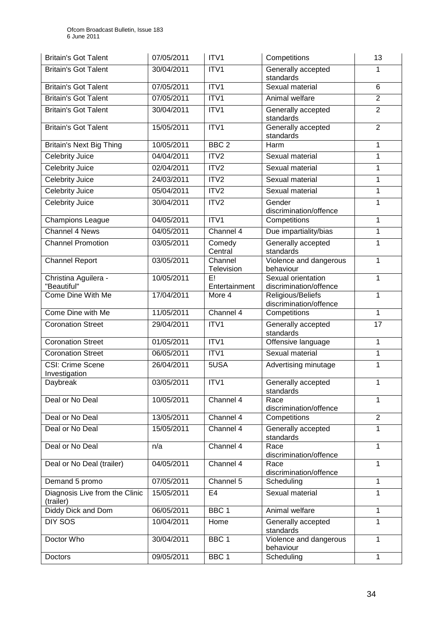| <b>Britain's Got Talent</b>                 | 07/05/2011 | ITV1                  | Competitions                                 | 13             |
|---------------------------------------------|------------|-----------------------|----------------------------------------------|----------------|
| <b>Britain's Got Talent</b>                 | 30/04/2011 | ITV1                  | Generally accepted<br>standards              | 1              |
| <b>Britain's Got Talent</b>                 | 07/05/2011 | ITV1                  | Sexual material                              | 6              |
| <b>Britain's Got Talent</b>                 | 07/05/2011 | ITV1                  | Animal welfare                               | $\overline{2}$ |
| <b>Britain's Got Talent</b>                 | 30/04/2011 | ITV1                  | Generally accepted<br>standards              | $\overline{2}$ |
| <b>Britain's Got Talent</b>                 | 15/05/2011 | ITV1                  | Generally accepted<br>standards              | $\overline{2}$ |
| <b>Britain's Next Big Thing</b>             | 10/05/2011 | BBC <sub>2</sub>      | Harm                                         | $\mathbf{1}$   |
| <b>Celebrity Juice</b>                      | 04/04/2011 | ITV2                  | Sexual material                              | $\mathbf{1}$   |
| <b>Celebrity Juice</b>                      | 02/04/2011 | ITV <sub>2</sub>      | Sexual material                              | $\mathbf 1$    |
| <b>Celebrity Juice</b>                      | 24/03/2011 | ITV2                  | Sexual material                              | $\mathbf{1}$   |
| <b>Celebrity Juice</b>                      | 05/04/2011 | ITV2                  | Sexual material                              | $\mathbf{1}$   |
| <b>Celebrity Juice</b>                      | 30/04/2011 | ITV <sub>2</sub>      | Gender<br>discrimination/offence             | $\mathbf{1}$   |
| <b>Champions League</b>                     | 04/05/2011 | ITV1                  | Competitions                                 | $\mathbf{1}$   |
| <b>Channel 4 News</b>                       | 04/05/2011 | Channel 4             | Due impartiality/bias                        | $\mathbf{1}$   |
| <b>Channel Promotion</b>                    | 03/05/2011 | Comedy<br>Central     | Generally accepted<br>standards              | 1              |
| <b>Channel Report</b>                       | 03/05/2011 | Channel<br>Television | Violence and dangerous<br>behaviour          | $\mathbf{1}$   |
| Christina Aguilera -<br>"Beautiful"         | 10/05/2011 | E!<br>Entertainment   | Sexual orientation<br>discrimination/offence | $\mathbf{1}$   |
| Come Dine With Me                           | 17/04/2011 | More 4                | Religious/Beliefs<br>discrimination/offence  | $\mathbf{1}$   |
| Come Dine with Me                           | 11/05/2011 | Channel 4             | Competitions                                 | $\mathbf{1}$   |
| <b>Coronation Street</b>                    | 29/04/2011 | ITV1                  | Generally accepted<br>standards              | 17             |
| <b>Coronation Street</b>                    | 01/05/2011 | ITV1                  | Offensive language                           | $\mathbf{1}$   |
| <b>Coronation Street</b>                    | 06/05/2011 | ITV1                  | Sexual material                              | $\mathbf{1}$   |
| <b>CSI: Crime Scene</b><br>Investigation    | 26/04/2011 | 5USA                  | Advertising minutage                         | $\mathbf{1}$   |
| Daybreak                                    | 03/05/2011 | ITV1                  | Generally accepted<br>standards              | 1              |
| Deal or No Deal                             | 10/05/2011 | Channel 4             | Race<br>discrimination/offence               | $\mathbf{1}$   |
| Deal or No Deal                             | 13/05/2011 | Channel 4             | Competitions                                 | $\overline{2}$ |
| Deal or No Deal                             | 15/05/2011 | Channel 4             | Generally accepted<br>standards              | $\mathbf{1}$   |
| Deal or No Deal                             | n/a        | Channel 4             | Race<br>discrimination/offence               | $\mathbf{1}$   |
| Deal or No Deal (trailer)                   | 04/05/2011 | Channel 4             | Race<br>discrimination/offence               | 1              |
| Demand 5 promo                              | 07/05/2011 | Channel 5             | Scheduling                                   | 1              |
| Diagnosis Live from the Clinic<br>(trailer) | 15/05/2011 | E <sub>4</sub>        | Sexual material                              | $\mathbf{1}$   |
| Diddy Dick and Dom                          | 06/05/2011 | BBC <sub>1</sub>      | Animal welfare                               | $\mathbf{1}$   |
| <b>DIY SOS</b>                              | 10/04/2011 | Home                  | Generally accepted<br>standards              | 1              |
| Doctor Who                                  | 30/04/2011 | BBC <sub>1</sub>      | Violence and dangerous<br>behaviour          | $\mathbf{1}$   |
| Doctors                                     | 09/05/2011 | BBC <sub>1</sub>      | Scheduling                                   | 1              |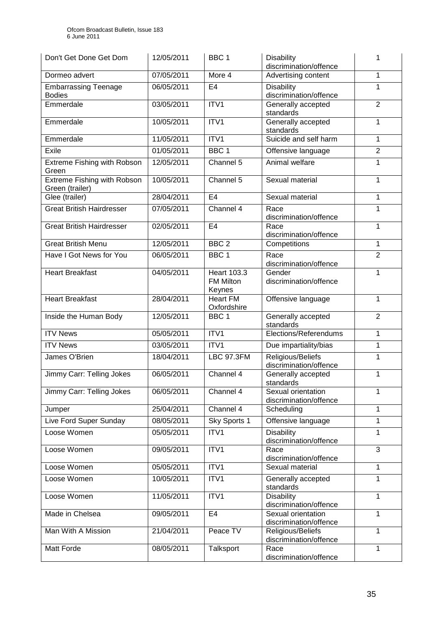| Don't Get Done Get Dom                                | 12/05/2011 | BBC <sub>1</sub>                                 | <b>Disability</b><br>discrimination/offence  | 1              |
|-------------------------------------------------------|------------|--------------------------------------------------|----------------------------------------------|----------------|
| Dormeo advert                                         | 07/05/2011 | More 4                                           | Advertising content                          | $\mathbf{1}$   |
| <b>Embarrassing Teenage</b><br><b>Bodies</b>          | 06/05/2011 | E <sub>4</sub>                                   | <b>Disability</b><br>discrimination/offence  | 1              |
| Emmerdale                                             | 03/05/2011 | ITV1                                             | Generally accepted<br>standards              | $\overline{2}$ |
| Emmerdale                                             | 10/05/2011 | ITV1                                             | Generally accepted<br>standards              | 1              |
| Emmerdale                                             | 11/05/2011 | ITV1                                             | Suicide and self harm                        | $\mathbf{1}$   |
| Exile                                                 | 01/05/2011 | BBC <sub>1</sub>                                 | Offensive language                           | $\overline{2}$ |
| Extreme Fishing with Robson<br>Green                  | 12/05/2011 | Channel 5                                        | Animal welfare                               | $\mathbf{1}$   |
| <b>Extreme Fishing with Robson</b><br>Green (trailer) | 10/05/2011 | Channel 5                                        | Sexual material                              | 1              |
| Glee (trailer)                                        | 28/04/2011 | E4                                               | Sexual material                              | $\mathbf{1}$   |
| <b>Great British Hairdresser</b>                      | 07/05/2011 | Channel 4                                        | Race<br>discrimination/offence               | 1              |
| <b>Great British Hairdresser</b>                      | 02/05/2011 | E <sub>4</sub>                                   | Race<br>discrimination/offence               | 1              |
| <b>Great British Menu</b>                             | 12/05/2011 | BBC <sub>2</sub>                                 | Competitions                                 | $\mathbf{1}$   |
| Have I Got News for You                               | 06/05/2011 | BBC <sub>1</sub>                                 | Race<br>discrimination/offence               | $\overline{2}$ |
| <b>Heart Breakfast</b>                                | 04/05/2011 | <b>Heart 103.3</b><br><b>FM Milton</b><br>Keynes | Gender<br>discrimination/offence             | $\mathbf{1}$   |
| <b>Heart Breakfast</b>                                | 28/04/2011 | <b>Heart FM</b><br>Oxfordshire                   | Offensive language                           | 1              |
| Inside the Human Body                                 | 12/05/2011 | BBC <sub>1</sub>                                 | Generally accepted<br>standards              | $\overline{2}$ |
| <b>ITV News</b>                                       | 05/05/2011 | ITV1                                             | Elections/Referendums                        | $\mathbf{1}$   |
| <b>ITV News</b>                                       | 03/05/2011 | ITV1                                             | Due impartiality/bias                        | $\mathbf{1}$   |
| James O'Brien                                         | 18/04/2011 | <b>LBC 97.3FM</b>                                | Religious/Beliefs<br>discrimination/offence  | $\mathbf{1}$   |
| Jimmy Carr: Telling Jokes                             | 06/05/2011 | Channel 4                                        | Generally accepted<br>standards              | 1              |
| Jimmy Carr: Telling Jokes                             | 06/05/2011 | Channel 4                                        | Sexual orientation<br>discrimination/offence | 1              |
| Jumper                                                | 25/04/2011 | Channel 4                                        | Scheduling                                   | 1              |
| Live Ford Super Sunday                                | 08/05/2011 | Sky Sports 1                                     | Offensive language                           | $\mathbf{1}$   |
| Loose Women                                           | 05/05/2011 | ITV1                                             | <b>Disability</b><br>discrimination/offence  | 1              |
| Loose Women                                           | 09/05/2011 | ITV1                                             | Race<br>discrimination/offence               | 3              |
| Loose Women                                           | 05/05/2011 | ITV1                                             | Sexual material                              | 1              |
| Loose Women                                           | 10/05/2011 | ITV1                                             | Generally accepted<br>standards              | $\mathbf{1}$   |
| Loose Women                                           | 11/05/2011 | ITV1                                             | <b>Disability</b><br>discrimination/offence  | $\mathbf{1}$   |
| Made in Chelsea                                       | 09/05/2011 | E <sub>4</sub>                                   | Sexual orientation<br>discrimination/offence | $\mathbf{1}$   |
| Man With A Mission                                    | 21/04/2011 | Peace TV                                         | Religious/Beliefs<br>discrimination/offence  | $\mathbf{1}$   |
| Matt Forde                                            | 08/05/2011 | Talksport                                        | Race<br>discrimination/offence               | 1              |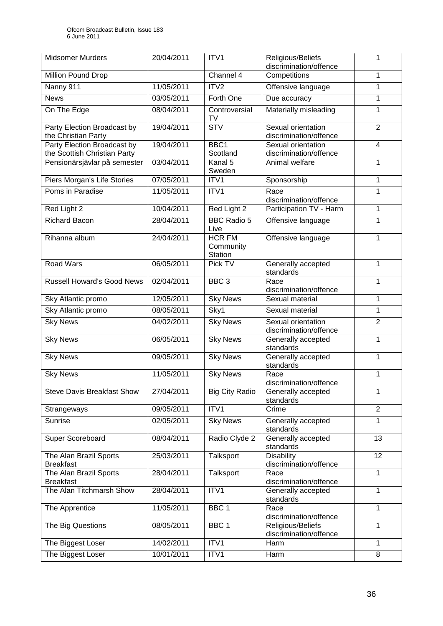| <b>Midsomer Murders</b>                                     | 20/04/2011 | ITV1                                  | Religious/Beliefs<br>discrimination/offence  | 1              |
|-------------------------------------------------------------|------------|---------------------------------------|----------------------------------------------|----------------|
| Million Pound Drop                                          |            | Channel 4                             | Competitions                                 | $\mathbf{1}$   |
| Nanny 911                                                   | 11/05/2011 | ITV2                                  | Offensive language                           | 1              |
| <b>News</b>                                                 | 03/05/2011 | Forth One                             | Due accuracy                                 | 1              |
| On The Edge                                                 | 08/04/2011 | Controversial<br><b>TV</b>            | Materially misleading                        | 1              |
| Party Election Broadcast by<br>the Christian Party          | 19/04/2011 | $\overline{\text{STV}}$               | Sexual orientation<br>discrimination/offence | $\overline{2}$ |
| Party Election Broadcast by<br>the Scottish Christian Party | 19/04/2011 | BBC <sub>1</sub><br>Scotland          | Sexual orientation<br>discrimination/offence | $\overline{4}$ |
| Pensionärsjävlar på semester                                | 03/04/2011 | Kanal 5<br>Sweden                     | Animal welfare                               | $\mathbf{1}$   |
| Piers Morgan's Life Stories                                 | 07/05/2011 | ITV1                                  | Sponsorship                                  | 1              |
| Poms in Paradise                                            | 11/05/2011 | ITV1                                  | Race<br>discrimination/offence               | $\mathbf{1}$   |
| Red Light 2                                                 | 10/04/2011 | Red Light 2                           | Participation TV - Harm                      | $\mathbf{1}$   |
| <b>Richard Bacon</b>                                        | 28/04/2011 | <b>BBC Radio 5</b><br>Live            | Offensive language                           | 1              |
| Rihanna album                                               | 24/04/2011 | <b>HCR FM</b><br>Community<br>Station | Offensive language                           | 1              |
| <b>Road Wars</b>                                            | 06/05/2011 | Pick TV                               | Generally accepted<br>standards              | $\mathbf{1}$   |
| <b>Russell Howard's Good News</b>                           | 02/04/2011 | BBC <sub>3</sub>                      | Race<br>discrimination/offence               | $\mathbf{1}$   |
| Sky Atlantic promo                                          | 12/05/2011 | <b>Sky News</b>                       | Sexual material                              | 1              |
| Sky Atlantic promo                                          | 08/05/2011 | Sky1                                  | Sexual material                              | 1              |
| <b>Sky News</b>                                             | 04/02/2011 | <b>Sky News</b>                       | Sexual orientation<br>discrimination/offence | $\overline{2}$ |
| <b>Sky News</b>                                             | 06/05/2011 | <b>Sky News</b>                       | Generally accepted<br>standards              | 1              |
| <b>Sky News</b>                                             | 09/05/2011 | <b>Sky News</b>                       | Generally accepted<br>standards              | 1              |
| <b>Sky News</b>                                             | 11/05/2011 | <b>Sky News</b>                       | Race<br>discrimination/offence               | 1              |
| <b>Steve Davis Breakfast Show</b>                           | 27/04/2011 | <b>Big City Radio</b>                 | Generally accepted<br>standards              | 1              |
| Strangeways                                                 | 09/05/2011 | ITV1                                  | Crime                                        | $\overline{2}$ |
| Sunrise                                                     | 02/05/2011 | <b>Sky News</b>                       | Generally accepted<br>standards              | $\mathbf{1}$   |
| Super Scoreboard                                            | 08/04/2011 | Radio Clyde 2                         | Generally accepted<br>standards              | 13             |
| The Alan Brazil Sports<br><b>Breakfast</b>                  | 25/03/2011 | Talksport                             | <b>Disability</b><br>discrimination/offence  | 12             |
| The Alan Brazil Sports                                      | 28/04/2011 | Talksport                             | Race                                         | $\mathbf{1}$   |
| <b>Breakfast</b><br>The Alan Titchmarsh Show                | 28/04/2011 | ITV1                                  | discrimination/offence<br>Generally accepted | $\mathbf{1}$   |
|                                                             |            |                                       | standards                                    |                |
| The Apprentice                                              | 11/05/2011 | BBC <sub>1</sub>                      | Race<br>discrimination/offence               | 1              |
| The Big Questions                                           | 08/05/2011 | BBC <sub>1</sub>                      | Religious/Beliefs<br>discrimination/offence  | 1              |
| The Biggest Loser                                           | 14/02/2011 | ITV1                                  | Harm                                         | 1              |
| The Biggest Loser                                           | 10/01/2011 | ITV1                                  | Harm                                         | 8              |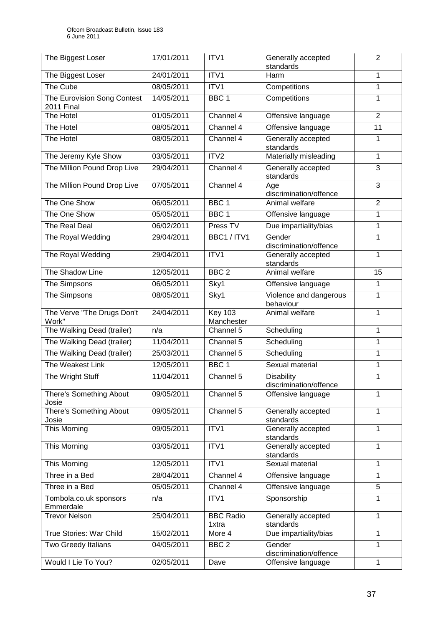| The Biggest Loser                                | 17/01/2011 | ITV1                         | Generally accepted<br>standards             | $\overline{2}$ |
|--------------------------------------------------|------------|------------------------------|---------------------------------------------|----------------|
| The Biggest Loser                                | 24/01/2011 | ITV1                         | Harm                                        | $\mathbf{1}$   |
| The Cube                                         | 08/05/2011 | ITV1                         | Competitions                                | $\mathbf{1}$   |
| The Eurovision Song Contest<br><b>2011 Final</b> | 14/05/2011 | BBC <sub>1</sub>             | Competitions                                | $\mathbf{1}$   |
| The Hotel                                        | 01/05/2011 | Channel 4                    | Offensive language                          | $\overline{2}$ |
| The Hotel                                        | 08/05/2011 | Channel 4                    | Offensive language                          | 11             |
| The Hotel                                        | 08/05/2011 | Channel 4                    | Generally accepted<br>standards             | $\mathbf{1}$   |
| The Jeremy Kyle Show                             | 03/05/2011 | ITV2                         | Materially misleading                       | $\mathbf{1}$   |
| The Million Pound Drop Live                      | 29/04/2011 | Channel 4                    | Generally accepted<br>standards             | 3              |
| The Million Pound Drop Live                      | 07/05/2011 | Channel 4                    | Age<br>discrimination/offence               | $\overline{3}$ |
| The One Show                                     | 06/05/2011 | BBC <sub>1</sub>             | Animal welfare                              | $\overline{2}$ |
| The One Show                                     | 05/05/2011 | BBC <sub>1</sub>             | Offensive language                          | 1              |
| The Real Deal                                    | 06/02/2011 | Press TV                     | Due impartiality/bias                       | $\mathbf{1}$   |
| The Royal Wedding                                | 29/04/2011 | BBC1 / ITV1                  | Gender<br>discrimination/offence            | $\mathbf{1}$   |
| The Royal Wedding                                | 29/04/2011 | ITV1                         | Generally accepted<br>standards             | $\mathbf{1}$   |
| The Shadow Line                                  | 12/05/2011 | BBC <sub>2</sub>             | Animal welfare                              | 15             |
| The Simpsons                                     | 06/05/2011 | Sky1                         | Offensive language                          | $\mathbf{1}$   |
| The Simpsons                                     | 08/05/2011 | Sky1                         | Violence and dangerous<br>behaviour         | $\mathbf{1}$   |
| The Verve "The Drugs Don't<br>Work"              | 24/04/2011 | <b>Key 103</b><br>Manchester | Animal welfare                              | 1              |
| The Walking Dead (trailer)                       | n/a        | Channel 5                    | Scheduling                                  | 1              |
| The Walking Dead (trailer)                       | 11/04/2011 | Channel 5                    | Scheduling                                  | 1              |
| The Walking Dead (trailer)                       | 25/03/2011 | Channel 5                    | Scheduling                                  | $\mathbf{1}$   |
| The Weakest Link                                 | 12/05/2011 | BBC <sub>1</sub>             | Sexual material                             | $\mathbf{1}$   |
| The Wright Stuff                                 | 11/04/2011 | Channel 5                    | <b>Disability</b><br>discrimination/offence | 1              |
| There's Something About<br>Josie                 | 09/05/2011 | Channel 5                    | Offensive language                          | 1              |
| There's Something About<br>Josie                 | 09/05/2011 | Channel 5                    | Generally accepted<br>standards             | 1              |
| This Morning                                     | 09/05/2011 | ITV1                         | Generally accepted<br>standards             | 1              |
| This Morning                                     | 03/05/2011 | ITV1                         | Generally accepted<br>standards             | $\mathbf{1}$   |
| This Morning                                     | 12/05/2011 | ITV1                         | Sexual material                             | 1              |
| Three in a Bed                                   | 28/04/2011 | Channel 4                    | Offensive language                          | $\mathbf{1}$   |
| Three in a Bed                                   | 05/05/2011 | Channel 4                    | Offensive language                          | 5              |
| Tombola.co.uk sponsors<br>Emmerdale              | n/a        | ITV1                         | Sponsorship                                 | 1              |
| <b>Trevor Nelson</b>                             | 25/04/2011 | <b>BBC Radio</b><br>1xtra    | Generally accepted<br>standards             | 1              |
| True Stories: War Child                          | 15/02/2011 | More 4                       | Due impartiality/bias                       | $\mathbf{1}$   |
| Two Greedy Italians                              | 04/05/2011 | BBC <sub>2</sub>             | Gender<br>discrimination/offence            | 1              |
| Would I Lie To You?                              | 02/05/2011 | Dave                         | Offensive language                          | $\mathbf{1}$   |